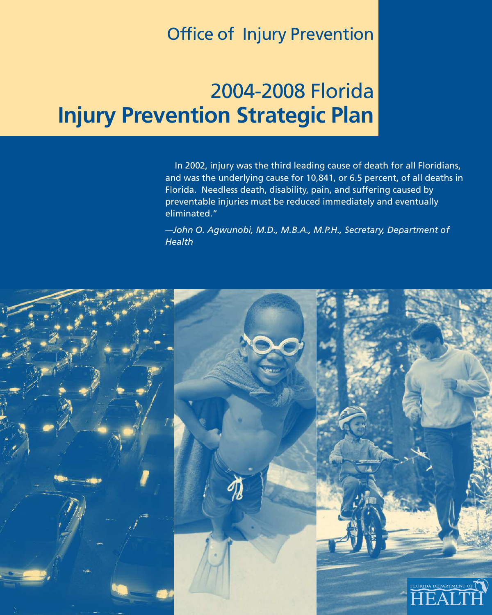## Office of Injury Prevention

# 2004-2008 Florida **Injury Prevention Strategic Plan**

In 2002, injury was the third leading cause of death for all Floridians, and was the underlying cause for 10,841, or 6.5 percent, of all deaths in Florida. Needless death, disability, pain, and suffering caused by preventable injuries must be reduced immediately and eventually eliminated."

*—John O. Agwunobi, M.D., M.B.A., M.P.H., Secretary, Department of Health*

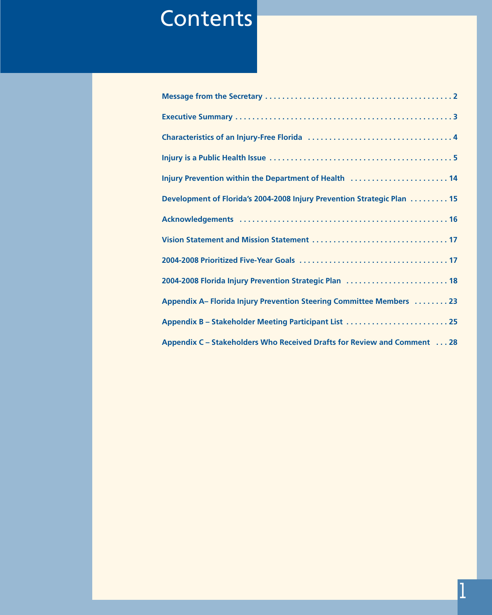# **Contents**

| Injury Prevention within the Department of Health  14                   |
|-------------------------------------------------------------------------|
| Development of Florida's 2004-2008 Injury Prevention Strategic Plan 15  |
|                                                                         |
|                                                                         |
|                                                                         |
| 2004-2008 Florida Injury Prevention Strategic Plan  18                  |
| Appendix A- Florida Injury Prevention Steering Committee Members  23    |
| Appendix B - Stakeholder Meeting Participant List  25                   |
| Appendix C - Stakeholders Who Received Drafts for Review and Comment 28 |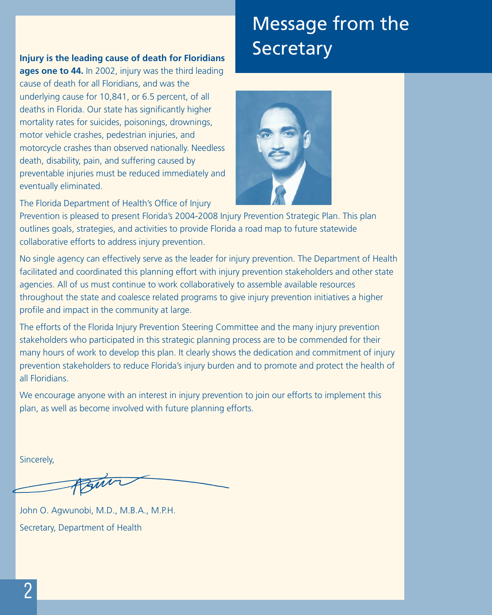# Message from the **Secretary**

#### **Injury is the leading cause of death for Floridians**

**ages one to 44.** In 2002, injury was the third leading cause of death for all Floridians, and was the underlying cause for 10,841, or 6.5 percent, of all deaths in Florida. Our state has significantly higher mortality rates for suicides, poisonings, drownings, motor vehicle crashes, pedestrian injuries, and motorcycle crashes than observed nationally. Needless death, disability, pain, and suffering caused by preventable injuries must be reduced immediately and eventually eliminated.

The Florida Department of Health's Office of Injury



Prevention is pleased to present Florida's 2004-2008 Injury Prevention Strategic Plan. This plan outlines goals, strategies, and activities to provide Florida a road map to future statewide collaborative efforts to address injury prevention.

No single agency can effectively serve as the leader for injury prevention. The Department of Health facilitated and coordinated this planning effort with injury prevention stakeholders and other state agencies. All of us must continue to work collaboratively to assemble available resources throughout the state and coalesce related programs to give injury prevention initiatives a higher profile and impact in the community at large.

The efforts of the Florida Injury Prevention Steering Committee and the many injury prevention stakeholders who participated in this strategic planning process are to be commended for their many hours of work to develop this plan. It clearly shows the dedication and commitment of injury prevention stakeholders to reduce Florida's injury burden and to promote and protect the health of all Floridians.

We encourage anyone with an interest in injury prevention to join our efforts to implement this plan, as well as become involved with future planning efforts.

Sincerely,

John O. Agwunobi, M.D., M.B.A., M.P.H. Secretary, Department of Health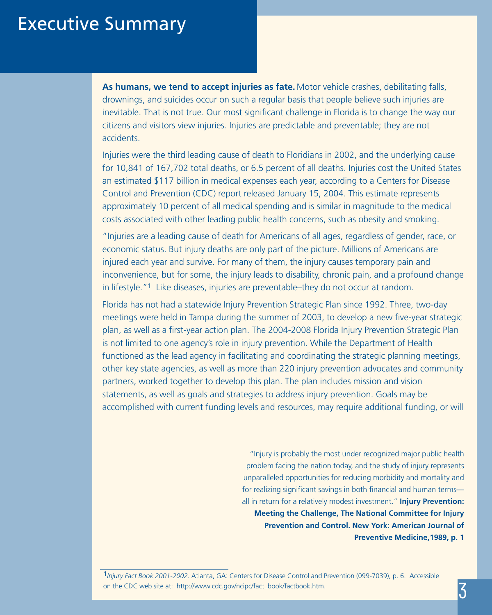## Executive Summary

**As humans, we tend to accept injuries as fate.** Motor vehicle crashes, debilitating falls, drownings, and suicides occur on such a regular basis that people believe such injuries are inevitable. That is not true. Our most significant challenge in Florida is to change the way our citizens and visitors view injuries. Injuries are predictable and preventable; they are not accidents.

Injuries were the third leading cause of death to Floridians in 2002, and the underlying cause for 10,841 of 167,702 total deaths, or 6.5 percent of all deaths. Injuries cost the United States an estimated \$117 billion in medical expenses each year, according to a Centers for Disease Control and Prevention (CDC) report released January 15, 2004. This estimate represents approximately 10 percent of all medical spending and is similar in magnitude to the medical costs associated with other leading public health concerns, such as obesity and smoking.

"Injuries are a leading cause of death for Americans of all ages, regardless of gender, race, or economic status. But injury deaths are only part of the picture. Millions of Americans are injured each year and survive. For many of them, the injury causes temporary pain and inconvenience, but for some, the injury leads to disability, chronic pain, and a profound change in lifestyle."1 Like diseases, injuries are preventable–they do not occur at random.

Florida has not had a statewide Injury Prevention Strategic Plan since 1992. Three, two-day meetings were held in Tampa during the summer of 2003, to develop a new five-year strategic plan, as well as a first-year action plan. The 2004-2008 Florida Injury Prevention Strategic Plan is not limited to one agency's role in injury prevention. While the Department of Health functioned as the lead agency in facilitating and coordinating the strategic planning meetings, other key state agencies, as well as more than 220 injury prevention advocates and community partners, worked together to develop this plan. The plan includes mission and vision statements, as well as goals and strategies to address injury prevention. Goals may be accomplished with current funding levels and resources, may require additional funding, or will

> "Injury is probably the most under recognized major public health problem facing the nation today, and the study of injury represents unparalleled opportunities for reducing morbidity and mortality and for realizing significant savings in both financial and human terms all in return for a relatively modest investment." **Injury Prevention: Meeting the Challenge, The National Committee for Injury Prevention and Control. New York: American Journal of Preventive Medicine,1989, p. 1**

<sup>1</sup>*Injury Fact Book 2001-2002.* Atlanta, GA: Centers for Disease Control and Prevention (099-7039), p. 6. Accessible on the CDC web site at: http://www.cdc.gov/ncipc/fact\_book/factbook.htm.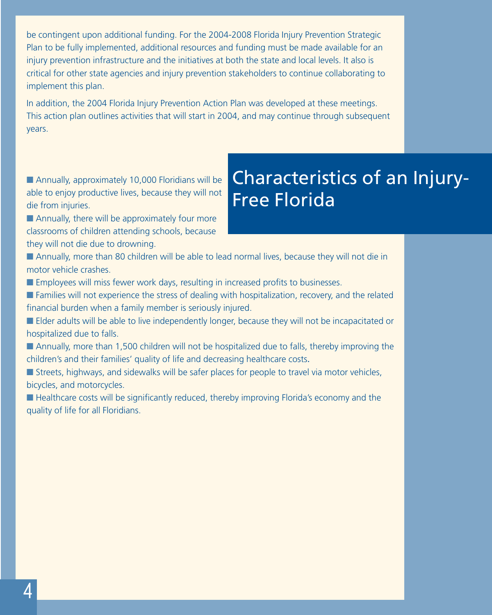be contingent upon additional funding. For the 2004-2008 Florida Injury Prevention Strategic Plan to be fully implemented, additional resources and funding must be made available for an injury prevention infrastructure and the initiatives at both the state and local levels. It also is critical for other state agencies and injury prevention stakeholders to continue collaborating to implement this plan.

In addition, the 2004 Florida Injury Prevention Action Plan was developed at these meetings. This action plan outlines activities that will start in 2004, and may continue through subsequent years.

### ■ Annually, approximately 10,000 Floridians will be able to enjoy productive lives, because they will not die from injuries.

- Characteristics of an Injury-Free Florida
- Annually, there will be approximately four more classrooms of children attending schools, because they will not die due to drowning.
- Annually, more than 80 children will be able to lead normal lives, because they will not die in motor vehicle crashes.
- **Employees will miss fewer work days, resulting in increased profits to businesses.**
- Families will not experience the stress of dealing with hospitalization, recovery, and the related financial burden when a family member is seriously injured.
- Elder adults will be able to live independently longer, because they will not be incapacitated or hospitalized due to falls.
- Annually, more than 1,500 children will not be hospitalized due to falls, thereby improving the children's and their families' quality of life and decreasing healthcare costs.
- Streets, highways, and sidewalks will be safer places for people to travel via motor vehicles, bicycles, and motorcycles.
- Healthcare costs will be significantly reduced, thereby improving Florida's economy and the quality of life for all Floridians.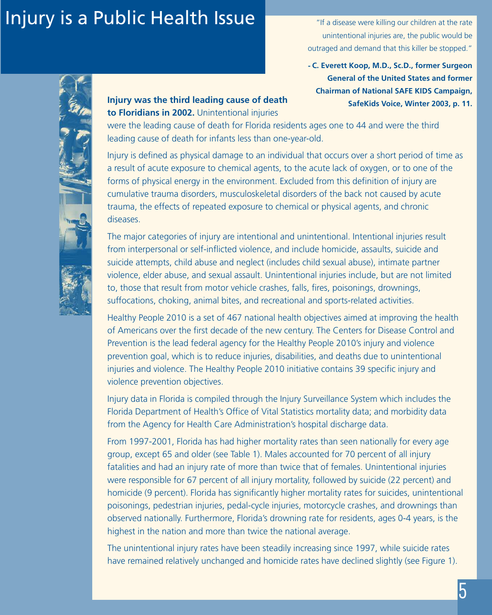# Injury is a Public Health Issue

"If a disease were killing our children at the rate unintentional injuries are, the public would be outraged and demand that this killer be stopped."

**- C. Everett Koop, M.D., Sc.D., former Surgeon General of the United States and former Chairman of National SAFE KIDS Campaign, SafeKids Voice, Winter 2003, p. 11.** 

#### **Injury was the third leading cause of death to Floridians in 2002.** Unintentional injuries

were the leading cause of death for Florida residents ages one to 44 and were the third leading cause of death for infants less than one-year-old.

Injury is defined as physical damage to an individual that occurs over a short period of time as a result of acute exposure to chemical agents, to the acute lack of oxygen, or to one of the forms of physical energy in the environment. Excluded from this definition of injury are cumulative trauma disorders, musculoskeletal disorders of the back not caused by acute trauma, the effects of repeated exposure to chemical or physical agents, and chronic diseases.

The major categories of injury are intentional and unintentional. Intentional injuries result from interpersonal or self-inflicted violence, and include homicide, assaults, suicide and suicide attempts, child abuse and neglect (includes child sexual abuse), intimate partner violence, elder abuse, and sexual assault. Unintentional injuries include, but are not limited to, those that result from motor vehicle crashes, falls, fires, poisonings, drownings, suffocations, choking, animal bites, and recreational and sports-related activities.

Healthy People 2010 is a set of 467 national health objectives aimed at improving the health of Americans over the first decade of the new century. The Centers for Disease Control and Prevention is the lead federal agency for the Healthy People 2010's injury and violence prevention goal, which is to reduce injuries, disabilities, and deaths due to unintentional injuries and violence. The Healthy People 2010 initiative contains 39 specific injury and violence prevention objectives.

Injury data in Florida is compiled through the Injury Surveillance System which includes the Florida Department of Health's Office of Vital Statistics mortality data; and morbidity data from the Agency for Health Care Administration's hospital discharge data.

From 1997-2001, Florida has had higher mortality rates than seen nationally for every age group, except 65 and older (see Table 1). Males accounted for 70 percent of all injury fatalities and had an injury rate of more than twice that of females. Unintentional injuries were responsible for 67 percent of all injury mortality, followed by suicide (22 percent) and homicide (9 percent). Florida has significantly higher mortality rates for suicides, unintentional poisonings, pedestrian injuries, pedal-cycle injuries, motorcycle crashes, and drownings than observed nationally. Furthermore, Florida's drowning rate for residents, ages 0-4 years, is the highest in the nation and more than twice the national average.

The unintentional injury rates have been steadily increasing since 1997, while suicide rates have remained relatively unchanged and homicide rates have declined slightly (see Figure 1).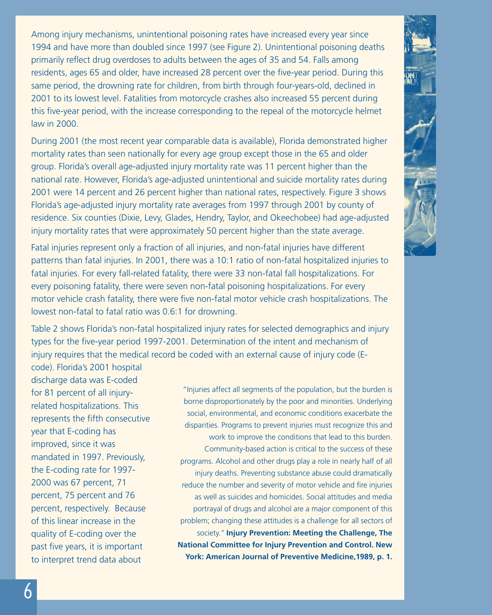Among injury mechanisms, unintentional poisoning rates have increased every year since 1994 and have more than doubled since 1997 (see Figure 2). Unintentional poisoning deaths primarily reflect drug overdoses to adults between the ages of 35 and 54. Falls among residents, ages 65 and older, have increased 28 percent over the five-year period. During this same period, the drowning rate for children, from birth through four-years-old, declined in 2001 to its lowest level. Fatalities from motorcycle crashes also increased 55 percent during this five-year period, with the increase corresponding to the repeal of the motorcycle helmet law in 2000.

During 2001 (the most recent year comparable data is available), Florida demonstrated higher mortality rates than seen nationally for every age group except those in the 65 and older group. Florida's overall age-adjusted injury mortality rate was 11 percent higher than the national rate. However, Florida's age-adjusted unintentional and suicide mortality rates during 2001 were 14 percent and 26 percent higher than national rates, respectively. Figure 3 shows Florida's age-adjusted injury mortality rate averages from 1997 through 2001 by county of residence. Six counties (Dixie, Levy, Glades, Hendry, Taylor, and Okeechobee) had age-adjusted injury mortality rates that were approximately 50 percent higher than the state average.

Fatal injuries represent only a fraction of all injuries, and non-fatal injuries have different patterns than fatal injuries. In 2001, there was a 10:1 ratio of non-fatal hospitalized injuries to fatal injuries. For every fall-related fatality, there were 33 non-fatal fall hospitalizations. For every poisoning fatality, there were seven non-fatal poisoning hospitalizations. For every motor vehicle crash fatality, there were five non-fatal motor vehicle crash hospitalizations. The lowest non-fatal to fatal ratio was 0.6:1 for drowning.

Table 2 shows Florida's non-fatal hospitalized injury rates for selected demographics and injury types for the five-year period 1997-2001. Determination of the intent and mechanism of injury requires that the medical record be coded with an external cause of injury code (E-

code). Florida's 2001 hospital discharge data was E-coded for 81 percent of all injuryrelated hospitalizations. This represents the fifth consecutive year that E-coding has improved, since it was mandated in 1997. Previously, the E-coding rate for 1997- 2000 was 67 percent, 71 percent, 75 percent and 76 percent, respectively. Because of this linear increase in the quality of E-coding over the past five years, it is important to interpret trend data about

"Injuries affect all segments of the population, but the burden is borne disproportionately by the poor and minorities. Underlying social, environmental, and economic conditions exacerbate the disparities. Programs to prevent injuries must recognize this and work to improve the conditions that lead to this burden. Community-based action is critical to the success of these programs. Alcohol and other drugs play a role in nearly half of all injury deaths. Preventing substance abuse could dramatically reduce the number and severity of motor vehicle and fire injuries as well as suicides and homicides. Social attitudes and media portrayal of drugs and alcohol are a major component of this problem; changing these attitudes is a challenge for all sectors of society." **Injury Prevention: Meeting the Challenge, The National Committee for Injury Prevention and Control. New York: American Journal of Preventive Medicine,1989, p. 1.**

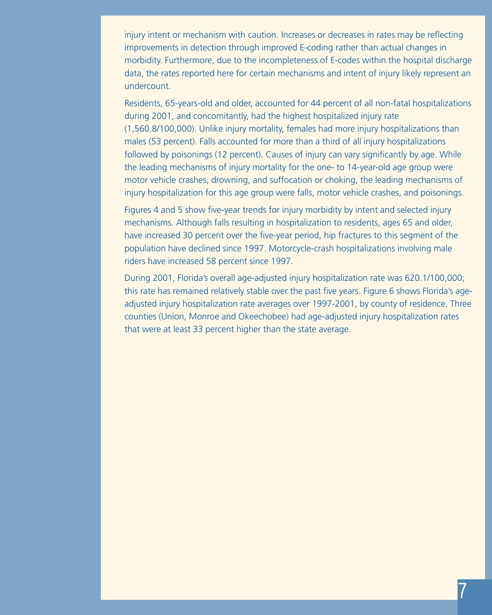injury intent or mechanism with caution. Increases or decreases in rates may be reflecting improvements in detection through improved E-coding rather than actual changes in morbidity. Furthermore, due to the incompleteness of E-codes within the hospital discharge data, the rates reported here for certain mechanisms and intent of injury likely represent an undercount.

Residents, 65-years-old and older, accounted for 44 percent of all non-fatal hospitalizations during 2001, and concomitantly, had the highest hospitalized injury rate (1,560.8/100,000). Unlike injury mortality, females had more injury hospitalizations than males (53 percent). Falls accounted for more than a third of all injury hospitalizations followed by poisonings (12 percent). Causes of injury can vary significantly by age. While the leading mechanisms of injury mortality for the one- to 14-year-old age group were motor vehicle crashes, drowning, and suffocation or choking, the leading mechanisms of injury hospitalization for this age group were falls, motor vehicle crashes, and poisonings.

Figures 4 and 5 show five-year trends for injury morbidity by intent and selected injury mechanisms. Although falls resulting in hospitalization to residents, ages 65 and older, have increased 30 percent over the five-year period, hip fractures to this segment of the population have declined since 1997. Motorcycle-crash hospitalizations involving male riders have increased 58 percent since 1997.

During 2001, Florida's overall age-adjusted injury hospitalization rate was 620.1/100,000; this rate has remained relatively stable over the past five years. Figure 6 shows Florida's ageadjusted injury hospitalization rate averages over 1997-2001, by county of residence. Three counties (Union, Monroe and Okeechobee) had age-adjusted injury hospitalization rates that were at least 33 percent higher than the state average.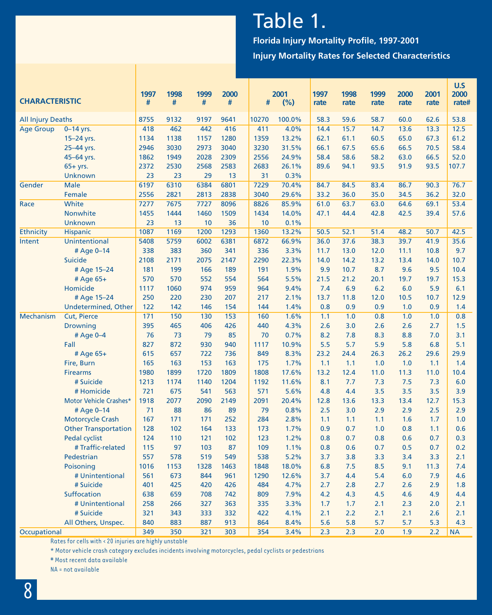# Table 1.

**Florida Injury Mortality Profile, 1997-2001 Injury Mortality Rates for Selected Characteristics**

| <b>CHARACTERISTIC</b>    |                               | 1997<br># | 1998<br># | 1999<br># | 2000<br># | #          | 2001<br>(%)   | 1997<br>rate | 1998<br>rate | 1999<br>rate | 2000<br>rate | 2001<br>rate | U.S<br>2000<br>rate# |
|--------------------------|-------------------------------|-----------|-----------|-----------|-----------|------------|---------------|--------------|--------------|--------------|--------------|--------------|----------------------|
| <b>All Injury Deaths</b> |                               | 8755      | 9132      | 9197      | 9641      | 10270      | 100.0%        | 58.3         | 59.6         | 58.7         | 60.0         | 62.6         | 53.8                 |
| <b>Age Group</b>         | $0-14$ yrs.                   | 418       | 462       | 442       | 416       | 411        | 4.0%          | 14.4         | 15.7         | 14.7         | 13.6         | 13.3         | 12.5                 |
|                          | 15-24 yrs.                    | 1134      | 1138      | 1157      | 1280      | 1359       | 13.2%         | 62.1         | 61.1         | 60.5         | 65.0         | 67.3         | 61.2                 |
|                          | 25-44 yrs.                    | 2946      | 3030      | 2973      | 3040      | 3230       | 31.5%         | 66.1         | 67.5         | 65.6         | 66.5         | 70.5         | 58.4                 |
|                          | 45-64 yrs.                    | 1862      | 1949      | 2028      | 2309      | 2556       | 24.9%         | 58.4         | 58.6         | 58.2         | 63.0         | 66.5         | 52.0                 |
|                          | $65+yrs.$                     | 2372      | 2530      | 2568      | 2583      | 2683       | 26.1%         | 89.6         | 94.1         | 93.5         | 91.9         | 93.5         | 107.7                |
|                          | <b>Unknown</b>                | 23        | 23        | 29        | 13        | 31         | 0.3%          |              |              |              |              |              |                      |
| Gender                   | <b>Male</b>                   | 6197      | 6310      | 6384      | 6801      | 7229       | 70.4%         | 84.7         | 84.5         | 83.4         | 86.7         | 90.3         | 76.7                 |
|                          | Female                        | 2556      | 2821      | 2813      | 2838      | 3040       | 29.6%         | 33.2         | 36.0         | 35.0         | 34.5         | 36.2         | 32.0                 |
| Race                     | White                         | 7277      | 7675      | 7727      | 8096      | 8826       | 85.9%         | 61.0         | 63.7         | 63.0         | 64.6         | 69.1         | 53.4                 |
|                          | Nonwhite                      | 1455      | 1444      | 1460      | 1509      | 1434       | 14.0%         | 47.1         | 44.4         | 42.8         | 42.5         | 39.4         | 57.6                 |
|                          | Unknown                       | 23        | 13        | 10        | 36        | 10         | 0.1%          |              |              |              |              |              |                      |
| Ethnicity                | <b>Hispanic</b>               | 1087      | 1169      | 1200      | 1293      | 1360       | 13.2%         | 50.5         | 52.1         | 51.4         | 48.2         | 50.7         | 42.5                 |
| Intent                   | Unintentional                 | 5408      | 5759      | 6002      | 6381      | 6872       | 66.9%         | 36.0         | 37.6         | 38.3         | 39.7         | 41.9         | 35.6                 |
|                          | # Age 0-14                    | 338       | 383       | 360       | 341       | 336        | 3.3%          | 11.7         | 13.0         | 12.0         | 11.1         | 10.8         | 9.7                  |
|                          | Suicide                       | 2108      | 2171      | 2075      | 2147      | 2290       | 22.3%         | 14.0         | 14.2         | 13.2         | 13.4         | 14.0         | 10.7                 |
|                          | # Age 15-24                   | 181       | 199       | 166       | 189       | 191        | 1.9%          | 9.9          | 10.7         | 8.7          | 9.6          | 9.5          | 10.4                 |
|                          | # Age 65+                     | 570       | 570       | 552       | 554       | 564        | 5.5%          | 21.5         | 21.2         | 20.1         | 19.7         | 19.7         | 15.3                 |
|                          | Homicide                      | 1117      | 1060      | 974       | 959       | 964        | 9.4%          | 7.4          | 6.9          | 6.2          | 6.0          | 5.9          | 6.1                  |
|                          | # Age 15-24                   | 250       | 220       | 230       | 207       | 217        | 2.1%          | 13.7         | 11.8         | 12.0         | 10.5         | 10.7         | 12.9                 |
|                          | <b>Undetermined, Other</b>    | 122       | 142       | 146       | 154       | 144        | 1.4%          | 0.8          | 0.9          | 0.9          | 1.0          | 0.9          | 1.4                  |
| <b>Mechanism</b>         | <b>Cut, Pierce</b>            | 171       | 150       | 130       | 153       | 160        | 1.6%          | 1.1          | 1.0          | 0.8          | 1.0          | 1.0          | 0.8                  |
|                          | <b>Drowning</b>               | 395       | 465       | 406       | 426       | 440        | 4.3%          | 2.6          | 3.0          | 2.6          | 2.6          | 2.7          | 1.5                  |
|                          | # Age 0-4<br>Fall             | 76<br>827 | 73<br>872 | 79<br>930 | 85<br>940 | 70<br>1117 | 0.7%          | 8.2<br>5.5   | 7.8<br>5.7   | 8.3<br>5.9   | 8.8<br>5.8   | 7.0<br>6.8   | 3.1<br>5.1           |
|                          |                               | 615       | 657       | 722       | 736       | 849        | 10.9%<br>8.3% | 23.2         | 24.4         | 26.3         | 26.2         | 29.6         | 29.9                 |
|                          | # Age 65+                     | 165       | 163       | 153       | 163       | 175        |               |              |              | 1.0          | 1.0          |              | 1.4                  |
|                          | Fire, Burn<br><b>Firearms</b> | 1980      | 1899      | 1720      | 1809      | 1808       | 1.7%<br>17.6% | 1.1<br>13.2  | 1.1<br>12.4  | 11.0         | 11.3         | 1.1<br>11.0  | 10.4                 |
|                          | # Suicide                     | 1213      | 1174      | 1140      | 1204      | 1192       | 11.6%         | 8.1          | 7.7          | 7.3          | 7.5          | 7.3          | 6.0                  |
|                          | # Homicide                    | 721       | 675       | 541       | 563       | 571        | 5.6%          | 4.8          | 4.4          | 3.5          | 3.5          | 3.5          | 3.9                  |
|                          | Motor Vehicle Crashes*        | 1918      | 2077      | 2090      | 2149      | 2091       | 20.4%         | 12.8         | 13.6         | 13.3         | 13.4         | 12.7         | 15.3                 |
|                          | # Age 0-14                    | 71        | 88        | 86        | 89        | 79         | 0.8%          | 2.5          | 3.0          | 2.9          | 2.9          | 2.5          | 2.9                  |
|                          | Motorcycle Crash              | 167       | 171       | 171       | 252       | 284        | 2.8%          | 1.1          | 1.1          | 1.1          | 1.6          | 1.7          | 1.0                  |
|                          | <b>Other Transportation</b>   | 128       | 102       | 164       | 133       | 173        | 1.7%          | 0.9          | 0.7          | 1.0          | 0.8          | 1.1          | 0.6                  |
|                          | Pedal cyclist                 | 124       | 110       | 121       | 102       | 123        | 1.2%          | 0.8          | 0.7          | 0.8          | 0.6          | 0.7          | 0.3                  |
|                          | #Traffic-related              | 115       | 97        | 103       | 87        | 109        | 1.1%          | 0.8          | 0.6          | 0.7          | 0.5          | 0.7          | 0.2                  |
|                          | Pedestrian                    | 557       | 578       | 519       | 549       | 538        | 5.2%          | 3.7          | 3.8          | 3.3          | 3.4          | 3.3          | 2.1                  |
|                          | Poisoning                     | 1016      | 1153      | 1328      | 1463      | 1848       | 18.0%         | 6.8          | 7.5          | 8.5          | 9.1          | 11.3         | 7.4                  |
|                          | # Unintentional               | 561       | 673       | 844       | 961       | 1290       | 12.6%         | 3.7          | 4.4          | 5.4          | 6.0          | 7.9          | 4.6                  |
|                          | # Suicide                     | 401       | 425       | 420       | 426       | 484        | 4.7%          | 2.7          | 2.8          | 2.7          | 2.6          | 2.9          | 1.8                  |
|                          | Suffocation                   | 638       | 659       | 708       | 742       | 809        | 7.9%          | 4.2          | 4.3          | 4.5          | 4.6          | 4.9          | 4.4                  |
|                          | # Unintentional               | 258       | 266       | 327       | 363       | 335        | 3.3%          | 1.7          | 1.7          | 2.1          | 2.3          | 2.0          | 2.1                  |
|                          | # Suicide                     | 321       | 343       | 333       | 332       | 422        | 4.1%          | 2.1          | 2.2          | 2.1          | 2.1          | 2.6          | 2.1                  |
|                          | All Others, Unspec.           | 840       | 883       | 887       | 913       | 864        | 8.4%          | 5.6          | 5.8          | 5.7          | 5.7          | 5.3          | 4.3                  |
| Occupational             |                               | 349       | 350       | 321       | 303       | 354        | 3.4%          | 2.3          | 2.3          | 2.0          | 1.9          | 2.2          | <b>NA</b>            |

Rates for cells with < 20 injuries are highly unstable

\* Motor vehicle crash category excludes incidents involving motorcycles, pedal cyclists or pedestrians

# Most recent data available

NA = not available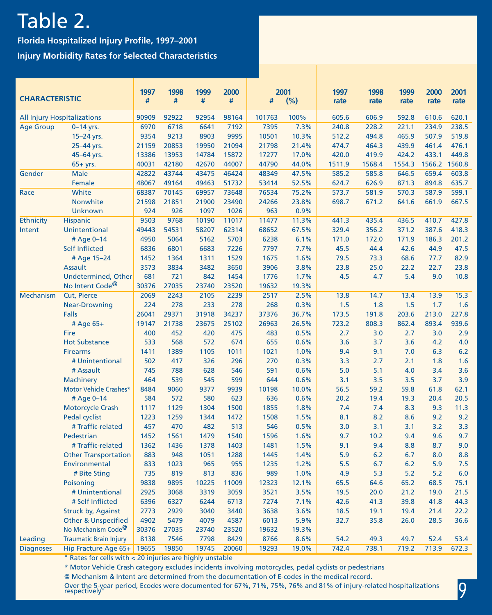# Table 2.

**Florida Hospitalized Injury Profile, 1997–2001 Injury Morbidity Rates for Selected Characteristics** 

| <b>CHARACTERISTIC</b> |                                    | 1997<br># | 1998<br># | 1999<br># | 2000<br># | #      | 2001<br>(%) | 1997<br>rate | 1998<br>rate | 1999<br>rate | 2000<br>rate | 2001<br>rate |
|-----------------------|------------------------------------|-----------|-----------|-----------|-----------|--------|-------------|--------------|--------------|--------------|--------------|--------------|
|                       | <b>All Injury Hospitalizations</b> | 90909     | 92922     | 92954     | 98164     | 101763 | 100%        | 605.6        | 606.9        | 592.8        | 610.6        | 620.1        |
| <b>Age Group</b>      | $0-14$ yrs.                        | 6970      | 6718      | 6641      | 7192      | 7395   | 7.3%        | 240.8        | 228.2        | 221.1        | 234.9        | 238.5        |
|                       | 15-24 yrs.                         | 9354      | 9213      | 8903      | 9995      | 10501  | 10.3%       | 512.2        | 494.8        | 465.9        | 507.9        | 519.8        |
|                       | 25-44 yrs.                         | 21159     | 20853     | 19950     | 21094     | 21798  | 21.4%       | 474.7        | 464.3        | 439.9        | 461.4        | 476.1        |
|                       | 45-64 yrs.                         | 13386     | 13953     | 14784     | 15872     | 17277  | 17.0%       | 420.0        | 419.9        | 424.2        | 433.1        | 449.8        |
|                       | 65+ yrs.                           | 40031     | 42180     | 42670     | 44007     | 44790  | 44.0%       | 1511.9       | 1568.4       | 1554.3       | 1566.2       | 1560.8       |
| Gender                | Male                               | 42822     | 43744     | 43475     | 46424     | 48349  | 47.5%       | 585.2        | 585.8        | 646.5        | 659.4        | 603.8        |
|                       | Female                             | 48067     | 49164     | 49463     | 51732     | 53414  | 52.5%       | 624.7        | 626.9        | 871.3        | 894.8        | 635.7        |
| Race                  | White                              | 68387     | 70145     | 69957     | 73648     | 76534  | 75.2%       | 573.7        | 581.9        | 570.3        | 587.9        | 599.1        |
|                       | Nonwhite                           | 21598     | 21851     | 21900     | 23490     | 24266  | 23.8%       | 698.7        | 671.2        | 641.6        | 661.9        | 667.5        |
|                       | <b>Unknown</b>                     | 924       | 926       | 1097      | 1026      | 963    | 0.9%        |              |              |              |              |              |
| Ethnicity             | Hispanic                           | 9503      | 9768      | 10190     | 11017     | 11477  | 11.3%       | 441.3        | 435.4        | 436.5        | 410.7        | 427.8        |
| Intent                | Unintentional                      | 49443     | 54531     | 58207     | 62314     | 68652  | 67.5%       | 329.4        | 356.2        | 371.2        | 387.6        | 418.3        |
|                       | # Age 0-14                         | 4950      | 5064      | 5162      | 5703      | 6238   | 6.1%        | 171.0        | 172.0        | 171.9        | 186.3        | 201.2        |
|                       | Self Inflicted                     | 6836      | 6801      | 6683      | 7226      | 7797   | 7.7%        | 45.5         | 44.4         | 42.6         | 44.9         | 47.5         |
|                       | # Age 15-24                        | 1452      | 1364      | 1311      | 1529      | 1675   | 1.6%        | 79.5         | 73.3         | 68.6         | 77.7         | 82.9         |
|                       | <b>Assault</b>                     | 3573      | 3834      | 3482      | 3650      | 3906   | 3.8%        | 23.8         | 25.0         | 22.2         | 22.7         | 23.8         |
|                       | <b>Undetermined, Other</b>         | 681       | 721       | 842       | 1454      | 1776   | 1.7%        | 4.5          | 4.7          | 5.4          | 9.0          | 10.8         |
|                       | No Intent Code <sup>@</sup>        | 30376     | 27035     | 23740     | 23520     | 19632  | 19.3%       |              |              |              |              |              |
| Mechanism             | Cut, Pierce                        | 2069      | 2243      | 2105      | 2239      | 2517   | 2.5%        | 13.8         | 14.7         | 13.4         | 13.9         | 15.3         |
|                       | <b>Near-Drowning</b>               | 224       | 278       | 233       | 278       | 268    | 0.3%        | 1.5          | 1.8          | 1.5          | 1.7          | 1.6          |
|                       | Falls                              | 26041     | 29371     | 31918     | 34237     | 37376  | 36.7%       | 173.5        | 191.8        | 203.6        | 213.0        | 227.8        |
|                       | # Age 65+                          | 19147     | 21738     | 23675     | 25102     | 26963  | 26.5%       | 723.2        | 808.3        | 862.4        | 893.4        | 939.6        |
|                       | Fire                               | 400       | 452       | 420       | 475       | 483    | 0.5%        | 2.7          | 3.0          | 2.7          | 3.0          | 2.9          |
|                       | <b>Hot Substance</b>               | 533       | 568       | 572       | 674       | 655    | 0.6%        | 3.6          | 3.7          | 3.6          | 4.2          | 4.0          |
|                       | <b>Firearms</b>                    | 1411      | 1389      | 1105      | 1011      | 1021   | 1.0%        | 9.4          | 9.1          | 7.0          | 6.3          | 6.2          |
|                       | # Unintentional                    | 502       | 417       | 326       | 296       | 270    | 0.3%        | 3.3          | 2.7          | 2.1          | 1.8          | 1.6          |
|                       | # Assault                          | 745       | 788       | 628       | 546       | 591    | 0.6%        | 5.0          | 5.1          | 4.0          | 3.4          | 3.6          |
|                       | Machinery                          | 464       | 539       | 545       | 599       | 644    | 0.6%        | 3.1          | 3.5          | 3.5          | 3.7          | 3.9          |
|                       | Motor Vehicle Crashes*             | 8484      | 9060      | 9377      | 9939      | 10198  | 10.0%       | 56.5         | 59.2         | 59.8         | 61.8         | 62.1         |
|                       | # Age 0-14                         | 584       | 572       | 580       | 623       | 636    | 0.6%        | 20.2         | 19.4         | 19.3         | 20.4         | 20.5         |
|                       | <b>Motorcycle Crash</b>            | 1117      | 1129      | 1304      | 1500      | 1855   | 1.8%        | 7.4          | 7.4          | 8.3          | 9.3          | 11.3         |
|                       | Pedal cyclist                      | 1223      | 1259      | 1344      | 1472      | 1508   | 1.5%        | 8.1          | 8.2          | 8.6          | 9.2          | 9.2          |
|                       | # Traffic-related                  | 457       | 470       | 482       | 513       | 546    | 0.5%        | 3.0          | 3.1          | 3.1          | 3.2          | 3.3          |
|                       | Pedestrian                         | 1452      | 1561      | 1479      | 1540      | 1596   | 1.6%        | 9.7          | 10.2         | 9.4          | 9.6          | 9.7          |
|                       | # Traffic-related                  | 1362      | 1436      | 1378      | 1403      | 1481   | 1.5%        | 9.1          | 9.4          | 8.8          | 8.7          | 9.0          |
|                       | <b>Other Transportation</b>        | 883       | 948       | 1051      | 1288      | 1445   | 1.4%        | 5.9          | 6.2          | 6.7          | 8.0          | 8.8          |
|                       | Environmental                      | 833       | 1023      | 965       | 955       | 1235   | 1.2%        | 5.5          | 6.7          | $6.2$        | 5.9          | 7.5          |
|                       | # Bite Sting                       | 735       | 819       | 813       | 836       | 989    | 1.0%        | 4.9          | 5.3          | 5.2          | 5.2          | 6.0          |
|                       | Poisoning                          | 9838      | 9895      | 10225     | 11009     | 12323  | 12.1%       | 65.5         | 64.6         | 65.2         | 68.5         | 75.1         |
|                       | # Unintentional                    | 2925      | 3068      | 3319      | 3059      | 3521   | 3.5%        | 19.5         | 20.0         | 21.2         | 19.0         | 21.5         |
|                       | # Self Inflicted                   | 6396      | 6327      | 6244      | 6713      | 7274   | 7.1%        | 42.6         | 41.3         | 39.8         | 41.8         | 44.3         |
|                       | <b>Struck by, Against</b>          | 2773      | 2929      | 3040      | 3440      | 3638   | 3.6%        | 18.5         | 19.1         | 19.4         | 21.4         | 22.2         |
|                       | <b>Other &amp; Unspecified</b>     | 4902      | 5479      | 4079      | 4587      | 6013   | 5.9%        | 32.7         | 35.8         | 26.0         | 28.5         | 36.6         |
|                       | No Mechanism Code <sup>@</sup>     | 30376     | 27035     | 23740     | 23520     | 19632  | 19.3%       |              |              |              |              |              |
| Leading               | <b>Traumatic Brain Injury</b>      | 8138      | 7546      | 7798      | 8429      | 8766   | 8.6%        | 54.2         | 49.3         | 49.7         | 52.4         | 53.4         |
| <b>Diagnoses</b>      | Hip Fracture Age 65+               | 19655     | 19850     | 19745     | 20060     | 19293  | 19.0%       | 742.4        | 738.1        | 719.2        | 713.9        | 672.3        |

" Rates for cells with < 20 injuries are highly unstable

\* Motor Vehicle Crash category excludes incidents involving motorcycles, pedal cyclists or pedestrians

@ Mechanism & Intent are determined from the documentation of E-codes in the medical record.

Over the 5-year period, Ecodes were documented for 67%, 71%, 75%, 76% and 81% of injury-related hospitalizations respectively"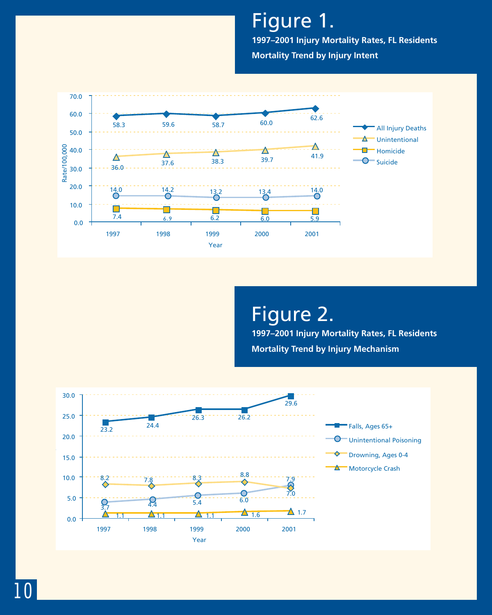Figure 1. **1997–2001 Injury Mortality Rates, FL Residents Mortality Trend by Injury Intent**



Figure 2. **1997–2001 Injury Mortality Rates, FL Residents Mortality Trend by Injury Mechanism**

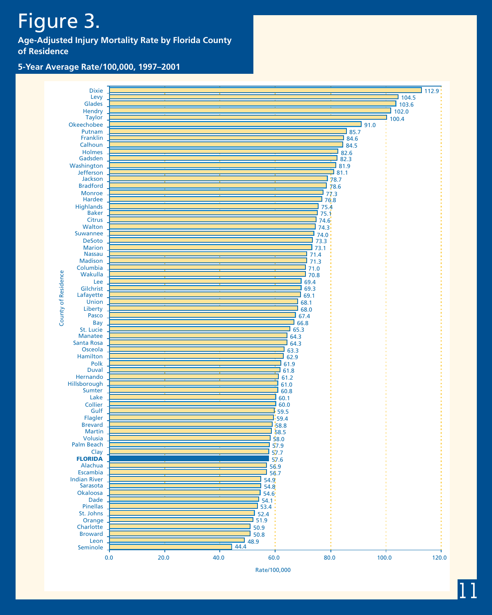# Figure 3.

**Age-Adjusted Injury Mortality Rate by Florida County of Residence**

#### **5-Year Average Rate/100,000, 1997–2001**



11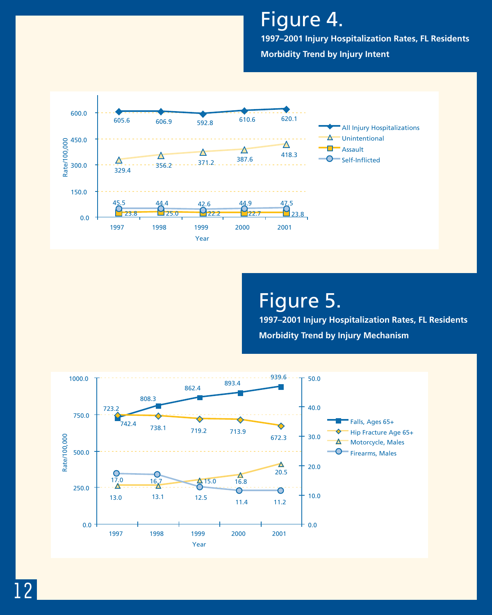Figure 4.

**1997–2001 Injury Hospitalization Rates, FL Residents Morbidity Trend by Injury Intent**



## Figure 5.

**1997–2001 Injury Hospitalization Rates, FL Residents Morbidity Trend by Injury Mechanism**

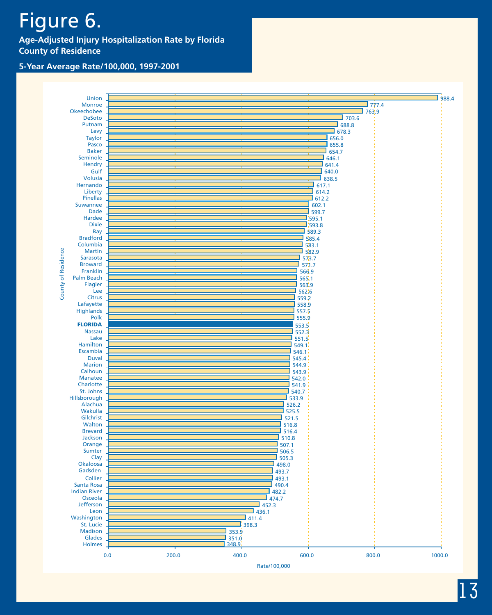# Figure 6.

**Age-Adjusted Injury Hospitalization Rate by Florida County of Residence**

#### **5-Year Average Rate/100,000, 1997-2001**

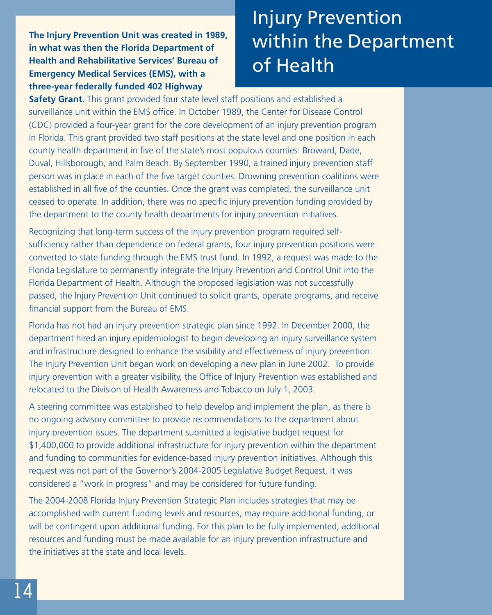**The Injury Prevention Unit was created in 1989, in what was then the Florida Department of Health and Rehabilitative Services' Bureau of Emergency Medical Services (EMS), with a three-year federally funded 402 Highway**

# Injury Prevention within the Department of Health

**Safety Grant.** This grant provided four state level staff positions and established a surveillance unit within the EMS office. In October 1989, the Center for Disease Control (CDC) provided a four-year grant for the core development of an injury prevention program in Florida. This grant provided two staff positions at the state level and one position in each county health department in five of the state's most populous counties: Broward, Dade, Duval, Hillsborough, and Palm Beach. By September 1990, a trained injury prevention staff person was in place in each of the five target counties. Drowning prevention coalitions were established in all five of the counties. Once the grant was completed, the surveillance unit ceased to operate. In addition, there was no specific injury prevention funding provided by the department to the county health departments for injury prevention initiatives.

Recognizing that long-term success of the injury prevention program required selfsufficiency rather than dependence on federal grants, four injury prevention positions were converted to state funding through the EMS trust fund. In 1992, a request was made to the Florida Legislature to permanently integrate the Injury Prevention and Control Unit into the Florida Department of Health. Although the proposed legislation was not successfully passed, the Injury Prevention Unit continued to solicit grants, operate programs, and receive financial support from the Bureau of EMS.

Florida has not had an injury prevention strategic plan since 1992. In December 2000, the department hired an injury epidemiologist to begin developing an injury surveillance system and infrastructure designed to enhance the visibility and effectiveness of injury prevention. The Injury Prevention Unit began work on developing a new plan in June 2002. To provide injury prevention with a greater visibility, the Office of Injury Prevention was established and relocated to the Division of Health Awareness and Tobacco on July 1, 2003.

A steering committee was established to help develop and implement the plan, as there is no ongoing advisory committee to provide recommendations to the department about injury prevention issues. The department submitted a legislative budget request for \$1,400,000 to provide additional infrastructure for injury prevention within the department and funding to communities for evidence-based injury prevention initiatives. Although this request was not part of the Governor's 2004-2005 Legislative Budget Request, it was considered a "work in progress" and may be considered for future funding.

The 2004-2008 Florida Injury Prevention Strategic Plan includes strategies that may be accomplished with current funding levels and resources, may require additional funding, or will be contingent upon additional funding. For this plan to be fully implemented, additional resources and funding must be made available for an injury prevention infrastructure and the initiatives at the state and local levels.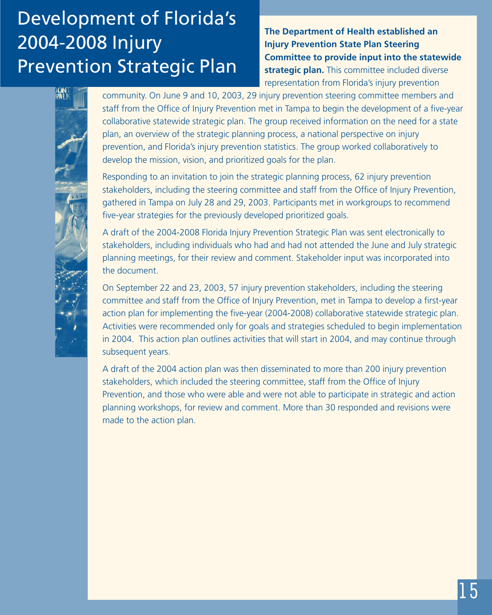# Development of Florida's 2004-2008 Injury Prevention Strategic Plan

**The Department of Health established an Injury Prevention State Plan Steering Committee to provide input into the statewide strategic plan.** This committee included diverse representation from Florida's injury prevention



community. On June 9 and 10, 2003, 29 injury prevention steering committee members and staff from the Office of Injury Prevention met in Tampa to begin the development of a five-year collaborative statewide strategic plan. The group received information on the need for a state plan, an overview of the strategic planning process, a national perspective on injury prevention, and Florida's injury prevention statistics. The group worked collaboratively to develop the mission, vision, and prioritized goals for the plan.

Responding to an invitation to join the strategic planning process, 62 injury prevention stakeholders, including the steering committee and staff from the Office of Injury Prevention, gathered in Tampa on July 28 and 29, 2003. Participants met in workgroups to recommend five-year strategies for the previously developed prioritized goals.

A draft of the 2004-2008 Florida Injury Prevention Strategic Plan was sent electronically to stakeholders, including individuals who had and had not attended the June and July strategic planning meetings, for their review and comment. Stakeholder input was incorporated into the document.

On September 22 and 23, 2003, 57 injury prevention stakeholders, including the steering committee and staff from the Office of Injury Prevention, met in Tampa to develop a first-year action plan for implementing the five-year (2004-2008) collaborative statewide strategic plan. Activities were recommended only for goals and strategies scheduled to begin implementation in 2004. This action plan outlines activities that will start in 2004, and may continue through subsequent years.

A draft of the 2004 action plan was then disseminated to more than 200 injury prevention stakeholders, which included the steering committee, staff from the Office of Injury Prevention, and those who were able and were not able to participate in strategic and action planning workshops, for review and comment. More than 30 responded and revisions were made to the action plan.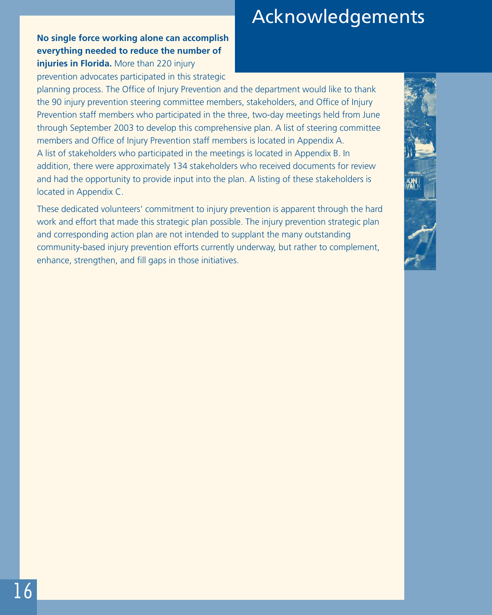**No single force working alone can accomplish everything needed to reduce the number of injuries in Florida.** More than 220 injury prevention advocates participated in this strategic

### planning process. The Office of Injury Prevention and the department would like to thank the 90 injury prevention steering committee members, stakeholders, and Office of Injury Prevention staff members who participated in the three, two-day meetings held from June through September 2003 to develop this comprehensive plan. A list of steering committee members and Office of Injury Prevention staff members is located in Appendix A. A list of stakeholders who participated in the meetings is located in Appendix B. In addition, there were approximately 134 stakeholders who received documents for review and had the opportunity to provide input into the plan. A listing of these stakeholders is located in Appendix C.

These dedicated volunteers' commitment to injury prevention is apparent through the hard work and effort that made this strategic plan possible. The injury prevention strategic plan and corresponding action plan are not intended to supplant the many outstanding community-based injury prevention efforts currently underway, but rather to complement, enhance, strengthen, and fill gaps in those initiatives.

# Acknowledgements

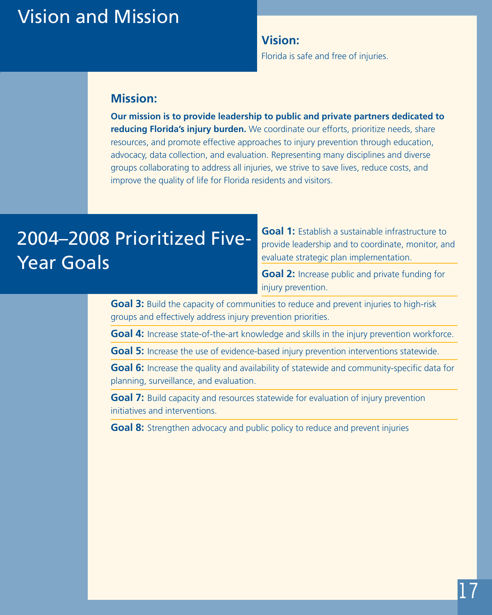## Vision and Mission

**Vision:**

Florida is safe and free of injuries.

### **Mission:**

**Our mission is to provide leadership to public and private partners dedicated to reducing Florida's injury burden.** We coordinate our efforts, prioritize needs, share resources, and promote effective approaches to injury prevention through education, advocacy, data collection, and evaluation. Representing many disciplines and diverse groups collaborating to address all injuries, we strive to save lives, reduce costs, and improve the quality of life for Florida residents and visitors.

# 2004–2008 Prioritized Five-Year Goals

**Goal 1:** Establish a sustainable infrastructure to provide leadership and to coordinate, monitor, and evaluate strategic plan implementation.

**Goal 2:** Increase public and private funding for injury prevention.

**Goal 3:** Build the capacity of communities to reduce and prevent injuries to high-risk groups and effectively address injury prevention priorities.

**Goal 4:** Increase state-of-the-art knowledge and skills in the injury prevention workforce.

**Goal 5:** Increase the use of evidence-based injury prevention interventions statewide.

**Goal 6:** Increase the quality and availability of statewide and community-specific data for planning, surveillance, and evaluation.

**Goal 7:** Build capacity and resources statewide for evaluation of injury prevention initiatives and interventions.

**Goal 8:** Strengthen advocacy and public policy to reduce and prevent injuries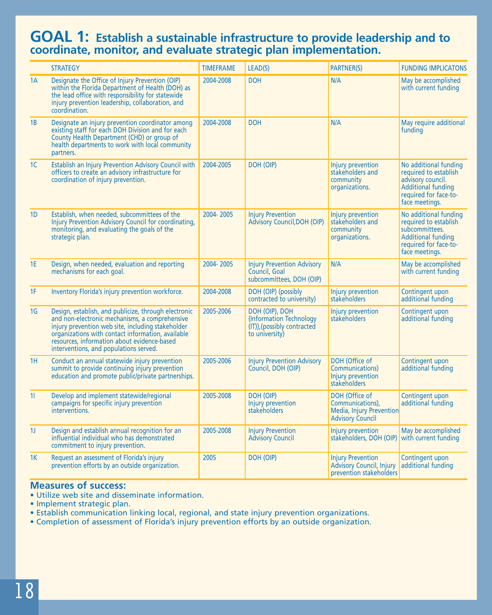### **GOAL 1: Establish a sustainable infrastructure to provide leadership and to coordinate, monitor, and evaluate strategic plan implementation.**

|                | <b>STRATEGY</b>                                                                                                                                                                                                                                                                                           | <b>TIMEFRAME</b> | LEAD(S)                                                                                    | <b>PARTNER(S)</b>                                                                                  | <b>FUNDING IMPLICATONS</b>                                                                                                               |
|----------------|-----------------------------------------------------------------------------------------------------------------------------------------------------------------------------------------------------------------------------------------------------------------------------------------------------------|------------------|--------------------------------------------------------------------------------------------|----------------------------------------------------------------------------------------------------|------------------------------------------------------------------------------------------------------------------------------------------|
| 1A             | Designate the Office of Injury Prevention (OIP)<br>within the Florida Department of Health (DOH) as<br>the lead office with responsibility for statewide<br>injury prevention leadership, collaboration, and<br>coordination.                                                                             | 2004-2008        | <b>DOH</b>                                                                                 | N/A                                                                                                | May be accomplished<br>with current funding                                                                                              |
| 1B             | Designate an injury prevention coordinator among<br>existing staff for each DOH Division and for each<br>County Health Department (CHD) or group of<br>health departments to work with local community<br>partners.                                                                                       | 2004-2008        | <b>DOH</b>                                                                                 | N/A                                                                                                | May require additional<br>funding                                                                                                        |
| 1 <sup>C</sup> | Establish an Injury Prevention Advisory Council with<br>officers to create an advisory infrastructure for<br>coordination of injury prevention.                                                                                                                                                           | 2004-2005        | DOH (OIP)                                                                                  | Injury prevention<br>stakeholders and<br>community<br>organizations.                               | No additional funding<br>required to establish<br>advisory council.<br>Additional funding<br>required for face-to-<br>face meetings.     |
| 1D             | Establish, when needed, subcommittees of the<br>Injury Prevention Advisory Council for coordinating,<br>monitoring, and evaluating the goals of the<br>strategic plan.                                                                                                                                    | 2004-2005        | <b>Injury Prevention</b><br><b>Advisory Council, DOH (OIP)</b>                             | Injury prevention<br>stakeholders and<br>community<br>organizations.                               | No additional funding<br>required to establish<br>subcommittees.<br><b>Additional funding</b><br>required for face-to-<br>face meetings. |
| <b>1E</b>      | Design, when needed, evaluation and reporting<br>mechanisms for each goal.                                                                                                                                                                                                                                | 2004-2005        | <b>Injury Prevention Advisory</b><br>Council, Goal<br>subcommittees, DOH (OIP)             | N/A                                                                                                | May be accomplished<br>with current funding                                                                                              |
| 1F             | Inventory Florida's injury prevention workforce.                                                                                                                                                                                                                                                          | 2004-2008        | DOH (OIP) (possibly<br>contracted to university)                                           | Injury prevention<br>stakeholders                                                                  | Contingent upon<br>additional funding                                                                                                    |
| 1 <sub>G</sub> | Design, establish, and publicize, through electronic<br>and non-electronic mechanisms, a comprehensive<br>injury prevention web site, including stakeholder<br>organizations with contact information, available<br>resources, information about evidence-based<br>interventions, and populations served. | 2005-2006        | DOH (OIP), DOH<br>{Information Technology<br>(IT)}, (possibly contracted<br>to university) | Injury prevention<br>stakeholders                                                                  | Contingent upon<br>additional funding                                                                                                    |
| 1H             | Conduct an annual statewide injury prevention<br>summit to provide continuing injury prevention<br>education and promote public/private partnerships.                                                                                                                                                     | 2005-2006        | <b>Injury Prevention Advisory</b><br>Council, DOH (OIP)                                    | DOH (Office of<br>Communications)<br>Injury prevention<br>stakeholders                             | Contingent upon<br>additional funding                                                                                                    |
| 11             | Develop and implement statewide/regional<br>campaigns for specific injury prevention<br>interventions.                                                                                                                                                                                                    | 2005-2008        | DOH (OIP)<br>Injury prevention<br>stakeholders                                             | DOH (Office of<br>Communications),<br>Media, Injury Prevention<br><b>Advisory Council</b>          | Contingent upon<br>additional funding                                                                                                    |
| 1 <sub>J</sub> | Design and establish annual recognition for an<br>influential individual who has demonstrated<br>commitment to injury prevention.                                                                                                                                                                         | 2005-2008        | <b>Injury Prevention</b><br><b>Advisory Council</b>                                        | Injury prevention<br>stakeholders, DOH (OIP) with current funding                                  | May be accomplished                                                                                                                      |
| 1K             | Request an assessment of Florida's injury<br>prevention efforts by an outside organization.                                                                                                                                                                                                               | 2005             | DOH (OIP)                                                                                  | <b>Injury Prevention</b><br>Advisory Council, Injury additional funding<br>prevention stakeholders | Contingent upon                                                                                                                          |

#### **Measures of success:**

- Utilize web site and disseminate information.
- Implement strategic plan.
- Establish communication linking local, regional, and state injury prevention organizations.
- Completion of assessment of Florida's injury prevention efforts by an outside organization.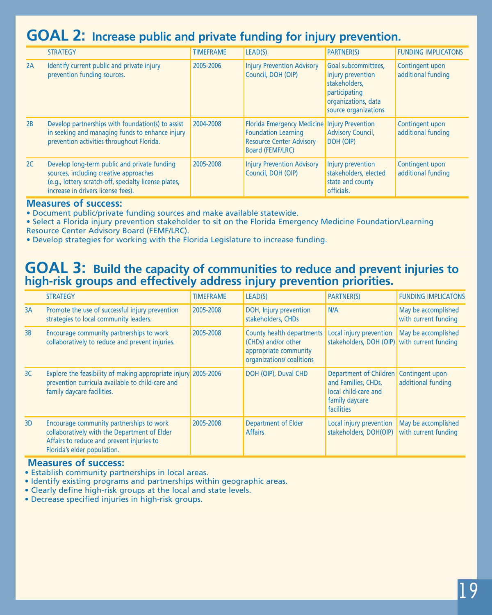## **GOAL 2: Increase public and private funding for injury prevention.**

|    | <b>STRATEGY</b>                                                                                                                                                                       | <b>TIMEFRAME</b> | LEAD(S)                                                                                                                                    | <b>PARTNER(S)</b>                                                                                                         | <b>FUNDING IMPLICATONS</b>            |
|----|---------------------------------------------------------------------------------------------------------------------------------------------------------------------------------------|------------------|--------------------------------------------------------------------------------------------------------------------------------------------|---------------------------------------------------------------------------------------------------------------------------|---------------------------------------|
| 2A | Identify current public and private injury<br>prevention funding sources.                                                                                                             | 2005-2006        | <b>Injury Prevention Advisory</b><br>Council, DOH (OIP)                                                                                    | Goal subcommittees,<br>injury prevention<br>stakeholders,<br>participating<br>organizations, data<br>source organizations | Contingent upon<br>additional funding |
| 2B | Develop partnerships with foundation(s) to assist<br>in seeking and managing funds to enhance injury<br>prevention activities throughout Florida.                                     | 2004-2008        | Florida Emergency Medicine   Injury Prevention<br><b>Foundation Learning</b><br><b>Resource Center Advisory</b><br><b>Board (FEMF/LRC)</b> | <b>Advisory Council,</b><br>DOH (OIP)                                                                                     | Contingent upon<br>additional funding |
| 2C | Develop long-term public and private funding<br>sources, including creative approaches<br>(e.g., lottery scratch-off, specialty license plates,<br>increase in drivers license fees). | 2005-2008        | <b>Injury Prevention Advisory</b><br>Council, DOH (OIP)                                                                                    | Injury prevention<br>stakeholders, elected<br>state and county<br>officials.                                              | Contingent upon<br>additional funding |

#### **Measures of success:**

• Document public/private funding sources and make available statewide.

- Select a Florida injury prevention stakeholder to sit on the Florida Emergency Medicine Foundation/Learning
- Resource Center Advisory Board (FEMF/LRC).
- Develop strategies for working with the Florida Legislature to increase funding.

### **GOAL 3: Build the capacity of communities to reduce and prevent injuries to high-risk groups and effectively address injury prevention priorities.**

|    | <b>STRATEGY</b>                                                                                                                                                      | <b>TIMEFRAME</b> | LEAD(S)                                                                                               | <b>PARTNER(S)</b>                                                                                                       | <b>FUNDING IMPLICATONS</b>                  |
|----|----------------------------------------------------------------------------------------------------------------------------------------------------------------------|------------------|-------------------------------------------------------------------------------------------------------|-------------------------------------------------------------------------------------------------------------------------|---------------------------------------------|
| 3A | Promote the use of successful injury prevention<br>strategies to local community leaders.                                                                            | 2005-2008        | DOH, Injury prevention<br>stakeholders, CHDs                                                          | N/A                                                                                                                     | May be accomplished<br>with current funding |
| 3B | Encourage community partnerships to work<br>collaboratively to reduce and prevent injuries.                                                                          | 2005-2008        | County health departments<br>(CHDs) and/or other<br>appropriate community<br>organizations/coalitions | Local injury prevention   May be accomplished<br>stakeholders, DOH (OIP) with current funding                           |                                             |
| 3C | Explore the feasibility of making appropriate injury 2005-2006<br>prevention curricula available to child-care and<br>family daycare facilities.                     |                  | DOH (OIP), Duval CHD                                                                                  | Department of Children   Contingent upon<br>and Families, CHDs,<br>local child-care and<br>family daycare<br>facilities | additional funding                          |
| 3D | Encourage community partnerships to work<br>collaboratively with the Department of Elder<br>Affairs to reduce and prevent injuries to<br>Florida's elder population. | 2005-2008        | Department of Elder<br><b>Affairs</b>                                                                 | Local injury prevention<br>stakeholders, DOH(OIP)                                                                       | May be accomplished<br>with current funding |

#### **Measures of success:**

- Establish community partnerships in local areas.
- Identify existing programs and partnerships within geographic areas.
- Clearly define high-risk groups at the local and state levels.
- Decrease specified injuries in high-risk groups.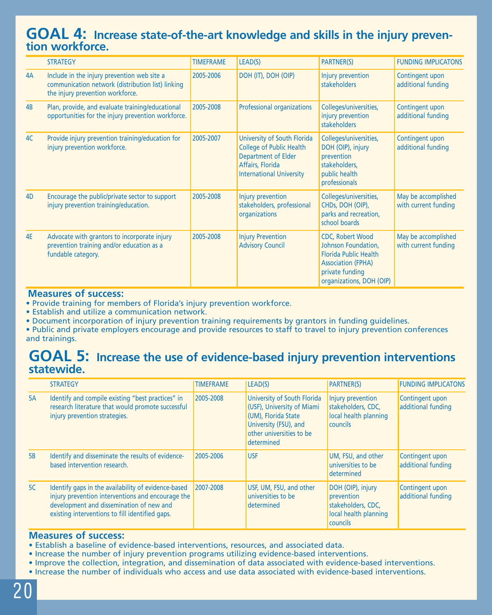## **GOAL 4: Increase state-of-the-art knowledge and skills in the injury prevention workforce.**

|                | <b>STRATEGY</b>                                                                                                                      | <b>TIMEFRAME</b> | LEAD(S)                                                                                                                                      | <b>PARTNER(S)</b>                                                                                                                                          | <b>FUNDING IMPLICATONS</b>                  |
|----------------|--------------------------------------------------------------------------------------------------------------------------------------|------------------|----------------------------------------------------------------------------------------------------------------------------------------------|------------------------------------------------------------------------------------------------------------------------------------------------------------|---------------------------------------------|
| 4A             | Include in the injury prevention web site a<br>communication network (distribution list) linking<br>the injury prevention workforce. | 2005-2006        | DOH (IT), DOH (OIP)                                                                                                                          | Injury prevention<br><b>stakeholders</b>                                                                                                                   | Contingent upon<br>additional funding       |
| 4B             | Plan, provide, and evaluate training/educational<br>opportunities for the injury prevention workforce.                               | 2005-2008        | <b>Professional organizations</b>                                                                                                            | Colleges/universities,<br>injury prevention<br>stakeholders                                                                                                | Contingent upon<br>additional funding       |
| 4C             | Provide injury prevention training/education for<br>injury prevention workforce.                                                     | 2005-2007        | University of South Florida<br><b>College of Public Health</b><br>Department of Elder<br>Affairs, Florida<br><b>International University</b> | Colleges/universities,<br>DOH (OIP), injury<br>prevention<br>stakeholders,<br>public health<br>professionals                                               | Contingent upon<br>additional funding       |
| 4 <sub>D</sub> | Encourage the public/private sector to support<br>injury prevention training/education.                                              | 2005-2008        | Injury prevention<br>stakeholders, professional<br>organizations                                                                             | Colleges/universities,<br>CHDs, DOH (OIP),<br>parks and recreation,<br>school boards                                                                       | May be accomplished<br>with current funding |
| <b>4E</b>      | Advocate with grantors to incorporate injury<br>prevention training and/or education as a<br>fundable category.                      | 2005-2008        | <b>Injury Prevention</b><br><b>Advisory Council</b>                                                                                          | <b>CDC, Robert Wood</b><br>Johnson Foundation,<br><b>Florida Public Health</b><br><b>Association (FPHA)</b><br>private funding<br>organizations, DOH (OIP) | May be accomplished<br>with current funding |

#### **Measures of success:**

• Provide training for members of Florida's injury prevention workforce.

• Establish and utilize a communication network.

• Document incorporation of injury prevention training requirements by grantors in funding guidelines.

• Public and private employers encourage and provide resources to staff to travel to injury prevention conferences and trainings.

### **GOAL 5: Increase the use of evidence-based injury prevention interventions statewide.**

|           | <b>STRATEGY</b>                                                                                                                                                                                         | <b>TIMEFRAME</b> | LEAD(S)                                                                                                                                             | <b>PARTNER(S)</b>                                                                          | <b>FUNDING IMPLICATONS</b>            |
|-----------|---------------------------------------------------------------------------------------------------------------------------------------------------------------------------------------------------------|------------------|-----------------------------------------------------------------------------------------------------------------------------------------------------|--------------------------------------------------------------------------------------------|---------------------------------------|
| 5A        | Identify and compile existing "best practices" in<br>research literature that would promote successful<br>injury prevention strategies.                                                                 | 2005-2008        | University of South Florida<br>(USF), University of Miami<br>(UM), Florida State<br>University (FSU), and<br>other universities to be<br>determined | Injury prevention<br>stakeholders, CDC,<br>local health planning<br><b>councils</b>        | Contingent upon<br>additional funding |
| <b>5B</b> | Identify and disseminate the results of evidence-<br>based intervention research.                                                                                                                       | 2005-2006        | <b>USF</b>                                                                                                                                          | UM, FSU, and other<br>universities to be<br>determined                                     | Contingent upon<br>additional funding |
| 5C        | Identify gaps in the availability of evidence-based<br>injury prevention interventions and encourage the<br>development and dissemination of new and<br>existing interventions to fill identified gaps. | 2007-2008        | USF, UM, FSU, and other<br>universities to be<br>determined                                                                                         | DOH (OIP), injury<br>prevention<br>stakeholders, CDC,<br>local health planning<br>councils | Contingent upon<br>additional funding |

#### **Measures of success:**

- Establish a baseline of evidence-based interventions, resources, and associated data.
- Increase the number of injury prevention programs utilizing evidence-based interventions.
- Improve the collection, integration, and dissemination of data associated with evidence-based interventions.
- Increase the number of individuals who access and use data associated with evidence-based interventions.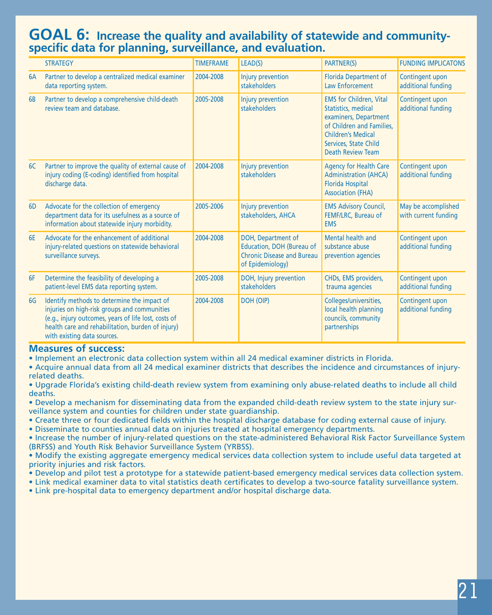### **GOAL 6: Increase the quality and availability of statewide and communityspecific data for planning, surveillance, and evaluation.**

|                | <b>STRATEGY</b>                                                                                                                                                                                                                         | <b>TIMEFRAME</b> | LEAD(S)                                                                                                  | <b>PARTNER(S)</b>                                                                                                                                                                             | <b>FUNDING IMPLICATONS</b>                  |
|----------------|-----------------------------------------------------------------------------------------------------------------------------------------------------------------------------------------------------------------------------------------|------------------|----------------------------------------------------------------------------------------------------------|-----------------------------------------------------------------------------------------------------------------------------------------------------------------------------------------------|---------------------------------------------|
| 6A             | Partner to develop a centralized medical examiner<br>data reporting system.                                                                                                                                                             | 2004-2008        | Injury prevention<br>stakeholders                                                                        | <b>Florida Department of</b><br>Law Enforcement                                                                                                                                               | Contingent upon<br>additional funding       |
| 6 <sub>B</sub> | Partner to develop a comprehensive child-death<br>review team and database.                                                                                                                                                             | 2005-2008        | Injury prevention<br>stakeholders                                                                        | <b>EMS for Children, Vital</b><br>Statistics, medical<br>examiners, Department<br>of Children and Families,<br><b>Children's Medical</b><br>Services, State Child<br><b>Death Review Team</b> | Contingent upon<br>additional funding       |
| 6C             | Partner to improve the quality of external cause of<br>injury coding (E-coding) identified from hospital<br>discharge data.                                                                                                             | 2004-2008        | Injury prevention<br>stakeholders                                                                        | <b>Agency for Health Care</b><br><b>Administration (AHCA)</b><br><b>Florida Hospital</b><br><b>Association (FHA)</b>                                                                          | Contingent upon<br>additional funding       |
| 6 <sub>D</sub> | Advocate for the collection of emergency<br>department data for its usefulness as a source of<br>information about statewide injury morbidity.                                                                                          | 2005-2006        | Injury prevention<br>stakeholders, AHCA                                                                  | <b>EMS Advisory Council,</b><br>FEMF/LRC, Bureau of<br><b>EMS</b>                                                                                                                             | May be accomplished<br>with current funding |
| <b>6E</b>      | Advocate for the enhancement of additional<br>injury-related questions on statewide behavioral<br>surveillance surveys.                                                                                                                 | 2004-2008        | DOH, Department of<br>Education, DOH (Bureau of<br><b>Chronic Disease and Bureau</b><br>of Epidemiology) | Mental health and<br>substance abuse<br>prevention agencies                                                                                                                                   | Contingent upon<br>additional funding       |
| 6F             | Determine the feasibility of developing a<br>patient-level EMS data reporting system.                                                                                                                                                   | 2005-2008        | DOH, Injury prevention<br>stakeholders                                                                   | CHDs, EMS providers,<br>trauma agencies                                                                                                                                                       | Contingent upon<br>additional funding       |
| 6G             | Identify methods to determine the impact of<br>injuries on high-risk groups and communities<br>(e.g., injury outcomes, years of life lost, costs of<br>health care and rehabilitation, burden of injury)<br>with existing data sources. | 2004-2008        | DOH (OIP)                                                                                                | Colleges/universities,<br>local health planning<br>councils, community<br>partnerships                                                                                                        | Contingent upon<br>additional funding       |

#### **Measures of success:**

• Implement an electronic data collection system within all 24 medical examiner districts in Florida.

• Acquire annual data from all 24 medical examiner districts that describes the incidence and circumstances of injuryrelated deaths.

• Upgrade Florida's existing child-death review system from examining only abuse-related deaths to include all child deaths.

• Develop a mechanism for disseminating data from the expanded child-death review system to the state injury surveillance system and counties for children under state guardianship.

• Create three or four dedicated fields within the hospital discharge database for coding external cause of injury.

• Disseminate to counties annual data on injuries treated at hospital emergency departments.

• Increase the number of injury-related questions on the state-administered Behavioral Risk Factor Surveillance System (BRFSS) and Youth Risk Behavior Surveillance System (YRBSS).

• Modify the existing aggregate emergency medical services data collection system to include useful data targeted at priority injuries and risk factors.

• Develop and pilot test a prototype for a statewide patient-based emergency medical services data collection system.

• Link medical examiner data to vital statistics death certificates to develop a two-source fatality surveillance system. • Link pre-hospital data to emergency department and/or hospital discharge data.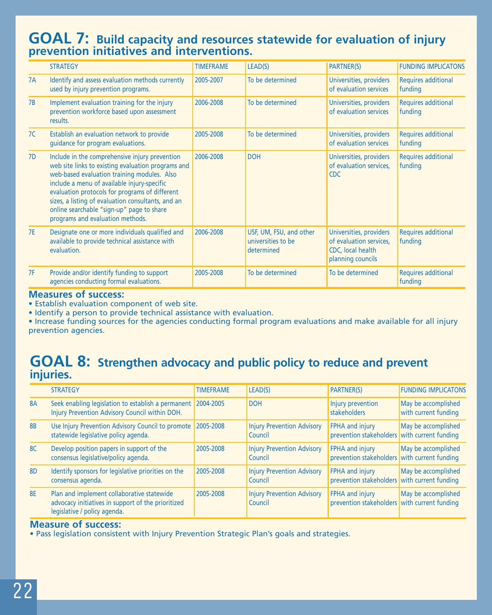## **GOAL 7: Build capacity and resources statewide for evaluation of injury prevention initiatives and interventions.**

|           | <b>STRATEGY</b>                                                                                                                                                                                                                                                                                                                                                                             | <b>TIMEFRAME</b> | LEAD(S)                                                     | <b>PARTNER(S)</b>                                                                            | <b>FUNDING IMPLICATONS</b>     |
|-----------|---------------------------------------------------------------------------------------------------------------------------------------------------------------------------------------------------------------------------------------------------------------------------------------------------------------------------------------------------------------------------------------------|------------------|-------------------------------------------------------------|----------------------------------------------------------------------------------------------|--------------------------------|
| 7A        | Identify and assess evaluation methods currently<br>used by injury prevention programs.                                                                                                                                                                                                                                                                                                     | 2005-2007        | To be determined                                            | Universities, providers<br>of evaluation services                                            | Requires additional<br>funding |
| 7B        | Implement evaluation training for the injury<br>prevention workforce based upon assessment<br>results.                                                                                                                                                                                                                                                                                      | 2006-2008        | To be determined                                            | Universities, providers<br>of evaluation services                                            | Requires additional<br>funding |
| 7C        | Establish an evaluation network to provide<br>guidance for program evaluations.                                                                                                                                                                                                                                                                                                             | 2005-2008        | To be determined                                            | Universities, providers<br>of evaluation services                                            | Requires additional<br>funding |
| 7D        | Include in the comprehensive injury prevention<br>web site links to existing evaluation programs and<br>web-based evaluation training modules. Also<br>include a menu of available injury-specific<br>evaluation protocols for programs of different<br>sizes, a listing of evaluation consultants, and an<br>online searchable "sign-up" page to share<br>programs and evaluation methods. | 2006-2008        | <b>DOH</b>                                                  | Universities, providers<br>of evaluation services,<br><b>CDC</b>                             | Requires additional<br>funding |
| <b>7E</b> | Designate one or more individuals qualified and<br>available to provide technical assistance with<br>evaluation.                                                                                                                                                                                                                                                                            | 2006-2008        | USF, UM, FSU, and other<br>universities to be<br>determined | Universities, providers<br>of evaluation services,<br>CDC, local health<br>planning councils | Requires additional<br>funding |
| 7F        | Provide and/or identify funding to support<br>agencies conducting formal evaluations.                                                                                                                                                                                                                                                                                                       | 2005-2008        | To be determined                                            | To be determined                                                                             | Requires additional<br>funding |

#### **Measures of success:**

• Establish evaluation component of web site.

• Identify a person to provide technical assistance with evaluation.

• Increase funding sources for the agencies conducting formal program evaluations and make available for all injury prevention agencies.

## **GOAL 8: Strengthen advocacy and public policy to reduce and prevent injuries.**

|                | <b>STRATEGY</b>                                                                                                                  | <b>TIMEFRAME</b> | LEAD(S)                                      | <b>PARTNER(S)</b>                                                      | <b>FUNDING IMPLICATONS</b>                  |
|----------------|----------------------------------------------------------------------------------------------------------------------------------|------------------|----------------------------------------------|------------------------------------------------------------------------|---------------------------------------------|
| <b>8A</b>      | Seek enabling legislation to establish a permanent   2004-2005<br>Injury Prevention Advisory Council within DOH.                 |                  | <b>DOH</b>                                   | Injury prevention<br>stakeholders                                      | May be accomplished<br>with current funding |
| <b>8B</b>      | Use Injury Prevention Advisory Council to promote<br>statewide legislative policy agenda.                                        | 2005-2008        | <b>Injury Prevention Advisory</b><br>Council | FPHA and injury<br>prevention stakeholders with current funding        | May be accomplished                         |
| 8C             | Develop position papers in support of the<br>consensus legislative/policy agenda.                                                | 2005-2008        | <b>Injury Prevention Advisory</b><br>Council | <b>FPHA and injury</b><br>prevention stakeholders with current funding | May be accomplished                         |
| 8 <sub>D</sub> | Identify sponsors for legislative priorities on the<br>consensus agenda.                                                         | 2005-2008        | <b>Injury Prevention Advisory</b><br>Council | <b>FPHA and injury</b><br>prevention stakeholders with current funding | May be accomplished                         |
| <b>8E</b>      | Plan and implement collaborative statewide<br>advocacy initiatives in support of the prioritized<br>legislative / policy agenda. | 2005-2008        | <b>Injury Prevention Advisory</b><br>Council | <b>FPHA and injury</b><br>prevention stakeholders with current funding | May be accomplished                         |

#### **Measure of success:**

• Pass legislation consistent with Injury Prevention Strategic Plan's goals and strategies.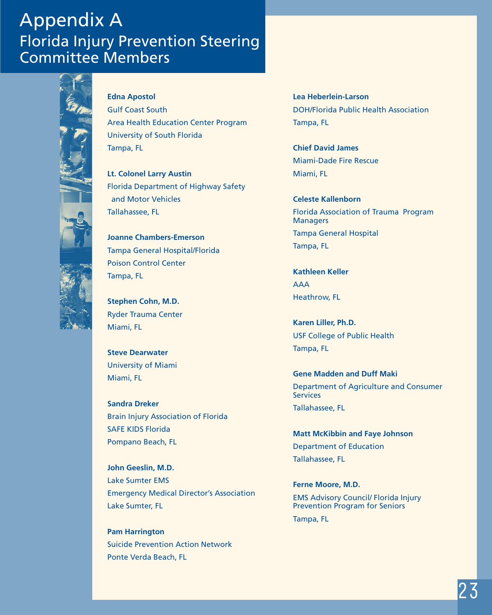## Appendix A Florida Injury Prevention Steering Committee Members



**Edna Apostol** Gulf Coast South Area Health Education Center Program

University of South Florida Tampa, FL

**Lt. Colonel Larry Austin** Florida Department of Highway Safety and Motor Vehicles Tallahassee, FL

**Joanne Chambers-Emerson** Tampa General Hospital/Florida Poison Control Center Tampa, FL

**Stephen Cohn, M.D.** Ryder Trauma Center Miami, FL

**Steve Dearwater** University of Miami Miami, FL

**Sandra Dreker** Brain Injury Association of Florida SAFE KIDS Florida Pompano Beach, FL

**John Geeslin, M.D.** Lake Sumter EMS Emergency Medical Director's Association Lake Sumter, FL

**Pam Harrington** Suicide Prevention Action Network Ponte Verda Beach, FL

**Lea Heberlein-Larson** DOH/Florida Public Health Association Tampa, FL

**Chief David James** Miami-Dade Fire Rescue Miami, FL

**Celeste Kallenborn** Florida Association of Trauma Program **Managers** Tampa General Hospital Tampa, FL

**Kathleen Keller** AAA Heathrow, FL

**Karen Liller, Ph.D.** USF College of Public Health Tampa, FL

**Gene Madden and Duff Maki** Department of Agriculture and Consumer **Services** Tallahassee, FL

**Matt McKibbin and Faye Johnson** Department of Education Tallahassee, FL

**Ferne Moore, M.D.** EMS Advisory Council/ Florida Injury Prevention Program for Seniors Tampa, FL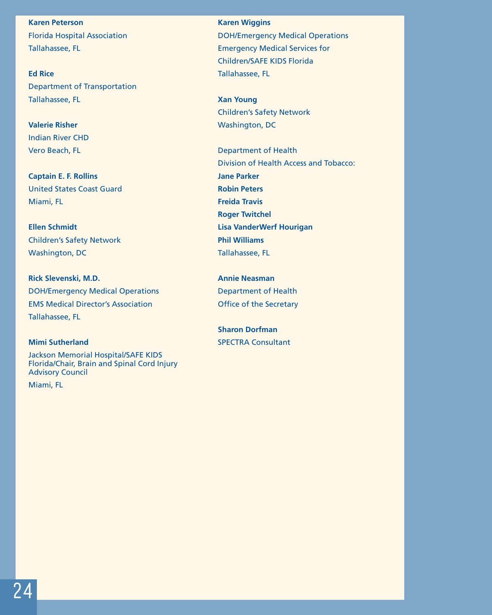**Karen Peterson** Florida Hospital Association Tallahassee, FL

**Ed Rice** Department of Transportation Tallahassee, FL

**Valerie Risher** Indian River CHD Vero Beach, FL

**Captain E. F. Rollins** United States Coast Guard Miami, FL

**Ellen Schmidt** Children's Safety Network Washington, DC

**Rick Slevenski, M.D.** DOH/Emergency Medical Operations EMS Medical Director's Association Tallahassee, FL

#### **Mimi Sutherland**

Jackson Memorial Hospital/SAFE KIDS Florida/Chair, Brain and Spinal Cord Injury Advisory Council

Miami, FL

**Karen Wiggins** DOH/Emergency Medical Operations Emergency Medical Services for Children/SAFE KIDS Florida Tallahassee, FL

**Xan Young** Children's Safety Network Washington, DC

Department of Health Division of Health Access and Tobacco: **Jane Parker Robin Peters Freida Travis Roger Twitchel Lisa VanderWerf Hourigan Phil Williams**  Tallahassee, FL

**Annie Neasman** Department of Health Office of the Secretary

**Sharon Dorfman** SPECTRA Consultant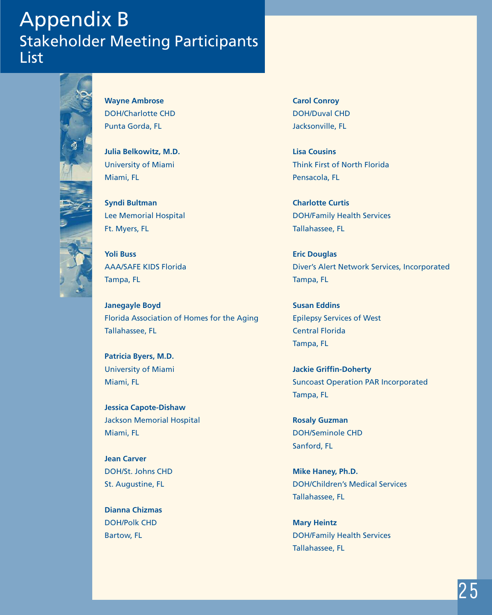## Appendix B Stakeholder Meeting Participants List



**Wayne Ambrose** DOH/Charlotte CHD Punta Gorda, FL

**Julia Belkowitz, M.D.** University of Miami Miami, FL

**Syndi Bultman** Lee Memorial Hospital Ft. Myers, FL

**Yoli Buss** AAA/SAFE KIDS Florida Tampa, FL

**Janegayle Boyd** Florida Association of Homes for the Aging Tallahassee, FL

**Patricia Byers, M.D.** University of Miami Miami, FL

**Jessica Capote-Dishaw** Jackson Memorial Hospital Miami, FL

**Jean Carver** DOH/St. Johns CHD St. Augustine, FL

**Dianna Chizmas** DOH/Polk CHD Bartow, FL

**Carol Conroy** DOH/Duval CHD Jacksonville, FL

**Lisa Cousins** Think First of North Florida Pensacola, FL

**Charlotte Curtis** DOH/Family Health Services Tallahassee, FL

**Eric Douglas**  Diver's Alert Network Services, Incorporated Tampa, FL

**Susan Eddins** Epilepsy Services of West Central Florida Tampa, FL

**Jackie Griffin-Doherty** Suncoast Operation PAR Incorporated Tampa, FL

**Rosaly Guzman** DOH/Seminole CHD Sanford, FL

**Mike Haney, Ph.D.** DOH/Children's Medical Services Tallahassee, FL

**Mary Heintz** DOH/Family Health Services Tallahassee, FL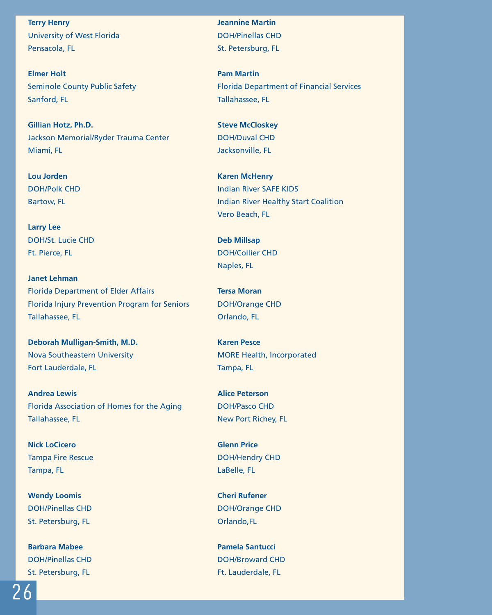**Terry Henry** University of West Florida Pensacola, FL

**Elmer Holt** Seminole County Public Safety Sanford, FL

**Gillian Hotz, Ph.D.** Jackson Memorial/Ryder Trauma Center Miami, FL

**Lou Jorden** DOH/Polk CHD Bartow, FL

**Larry Lee** DOH/St. Lucie CHD Ft. Pierce, FL

**Janet Lehman** Florida Department of Elder Affairs Florida Injury Prevention Program for Seniors Tallahassee, FL

**Deborah Mulligan-Smith, M.D.** Nova Southeastern University Fort Lauderdale, FL

**Andrea Lewis** Florida Association of Homes for the Aging Tallahassee, FL

**Nick LoCicero** Tampa Fire Rescue Tampa, FL

**Wendy Loomis** DOH/Pinellas CHD St. Petersburg, FL

**Barbara Mabee** DOH/Pinellas CHD St. Petersburg, FL

**Jeannine Martin** DOH/Pinellas CHD St. Petersburg, FL

**Pam Martin** Florida Department of Financial Services Tallahassee, FL

**Steve McCloskey** DOH/Duval CHD Jacksonville, FL

**Karen McHenry** Indian River SAFE KIDS Indian River Healthy Start Coalition Vero Beach, FL

**Deb Millsap** DOH/Collier CHD Naples, FL

**Tersa Moran** DOH/Orange CHD Orlando, FL

**Karen Pesce** MORE Health, Incorporated Tampa, FL

**Alice Peterson** DOH/Pasco CHD New Port Richey, FL

**Glenn Price** DOH/Hendry CHD LaBelle, FL

**Cheri Rufener** DOH/Orange CHD Orlando,FL

**Pamela Santucci** DOH/Broward CHD Ft. Lauderdale, FL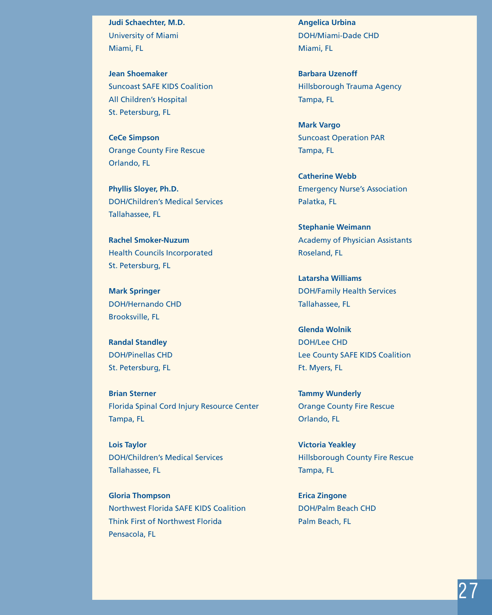**Judi Schaechter, M.D.** University of Miami Miami, FL

**Jean Shoemaker** Suncoast SAFE KIDS Coalition All Children's Hospital St. Petersburg, FL

**CeCe Simpson** Orange County Fire Rescue Orlando, FL

**Phyllis Sloyer, Ph.D.** DOH/Children's Medical Services Tallahassee, FL

**Rachel Smoker-Nuzum** Health Councils Incorporated St. Petersburg, FL

**Mark Springer** DOH/Hernando CHD Brooksville, FL

**Randal Standley** DOH/Pinellas CHD St. Petersburg, FL

**Brian Sterner** Florida Spinal Cord Injury Resource Center Tampa, FL

**Lois Taylor** DOH/Children's Medical Services Tallahassee, FL

**Gloria Thompson** Northwest Florida SAFE KIDS Coalition Think First of Northwest Florida Pensacola, FL

**Angelica Urbina** DOH/Miami-Dade CHD Miami, FL

**Barbara Uzenoff** Hillsborough Trauma Agency Tampa, FL

**Mark Vargo** Suncoast Operation PAR Tampa, FL

**Catherine Webb** Emergency Nurse's Association Palatka, FL

**Stephanie Weimann** Academy of Physician Assistants Roseland, FL

**Latarsha Williams** DOH/Family Health Services Tallahassee, FL

**Glenda Wolnik** DOH/Lee CHD Lee County SAFE KIDS Coalition Ft. Myers, FL

**Tammy Wunderly** Orange County Fire Rescue Orlando, FL

**Victoria Yeakley** Hillsborough County Fire Rescue Tampa, FL

**Erica Zingone** DOH/Palm Beach CHD Palm Beach, FL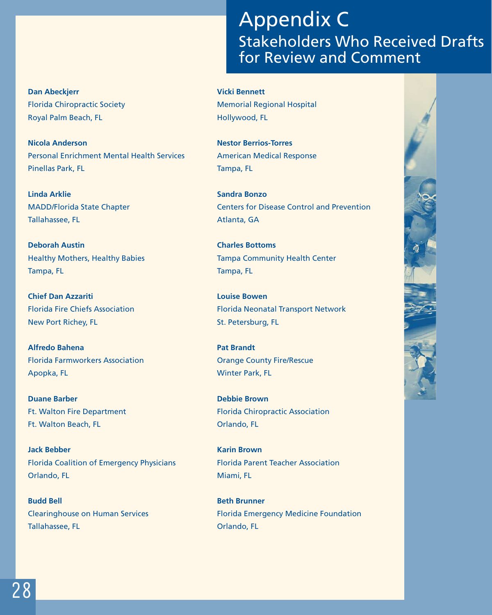#### **Dan Abeckjerr** Florida Chiropractic Society Royal Palm Beach, FL

**Nicola Anderson** Personal Enrichment Mental Health Services Pinellas Park, FL

**Linda Arklie** MADD/Florida State Chapter Tallahassee, FL

**Deborah Austin** Healthy Mothers, Healthy Babies Tampa, FL

**Chief Dan Azzariti** Florida Fire Chiefs Association New Port Richey, FL

**Alfredo Bahena** Florida Farmworkers Association Apopka, FL

**Duane Barber** Ft. Walton Fire Department Ft. Walton Beach, FL

**Jack Bebber** Florida Coalition of Emergency Physicians Orlando, FL

**Budd Bell** Clearinghouse on Human Services Tallahassee, FL

## Appendix C Stakeholders Who Received Drafts for Review and Comment

**Vicki Bennett**

Memorial Regional Hospital Hollywood, FL

**Nestor Berrios-Torres** American Medical Response Tampa, FL

**Sandra Bonzo** Centers for Disease Control and Prevention Atlanta, GA

**Charles Bottoms** Tampa Community Health Center Tampa, FL

**Louise Bowen** Florida Neonatal Transport Network St. Petersburg, FL

**Pat Brandt** Orange County Fire/Rescue Winter Park, FL

**Debbie Brown** Florida Chiropractic Association Orlando, FL

**Karin Brown** Florida Parent Teacher Association Miami, FL

**Beth Brunner** Florida Emergency Medicine Foundation Orlando, FL

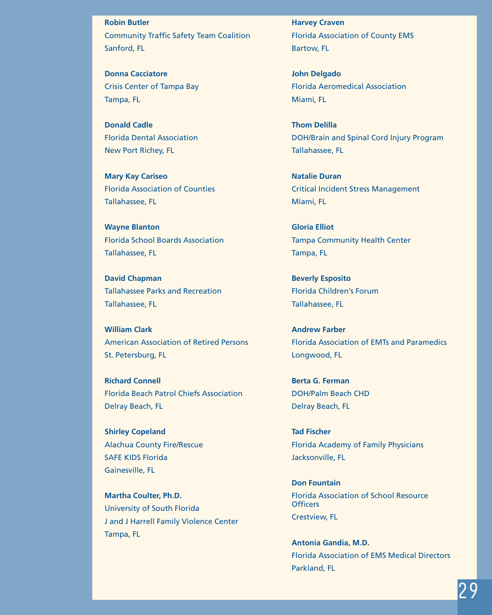**Robin Butler** Community Traffic Safety Team Coalition Sanford, FL

**Donna Cacciatore** Crisis Center of Tampa Bay Tampa, FL

**Donald Cadle** Florida Dental Association New Port Richey, FL

**Mary Kay Cariseo** Florida Association of Counties Tallahassee, FL

**Wayne Blanton** Florida School Boards Association Tallahassee, FL

**David Chapman** Tallahassee Parks and Recreation Tallahassee, FL

**William Clark** American Association of Retired Persons St. Petersburg, FL

**Richard Connell** Florida Beach Patrol Chiefs Association Delray Beach, FL

**Shirley Copeland** Alachua County Fire/Rescue SAFE KIDS Florida Gainesville, FL

**Martha Coulter, Ph.D.** University of South Florida J and J Harrell Family Violence Center Tampa, FL

**Harvey Craven** Florida Association of County EMS Bartow, FL

**John Delgado** Florida Aeromedical Association Miami, FL

**Thom Delilla** DOH/Brain and Spinal Cord Injury Program Tallahassee, FL

**Natalie Duran** Critical Incident Stress Management Miami, FL

**Gloria Elliot** Tampa Community Health Center Tampa, FL

**Beverly Esposito** Florida Children's Forum Tallahassee, FL

**Andrew Farber** Florida Association of EMTs and Paramedics Longwood, FL

**Berta G. Ferman** DOH/Palm Beach CHD Delray Beach, FL

**Tad Fischer** Florida Academy of Family Physicians Jacksonville, FL

**Don Fountain** Florida Association of School Resource **Officers** Crestview, FL

**Antonia Gandia, M.D.** Florida Association of EMS Medical Directors Parkland, FL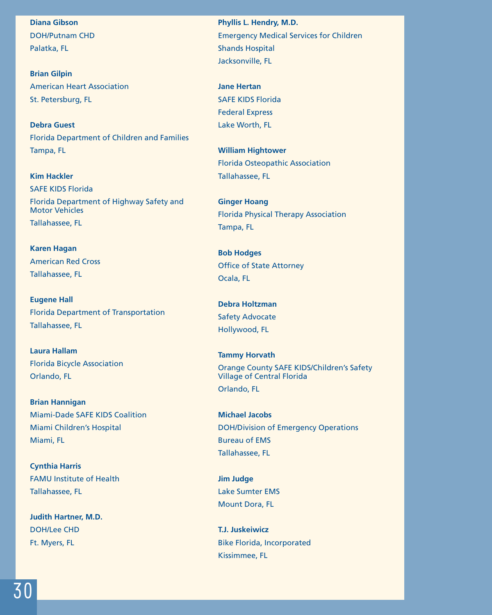**Diana Gibson** DOH/Putnam CHD Palatka, FL

**Brian Gilpin** American Heart Association St. Petersburg, FL

**Debra Guest** Florida Department of Children and Families Tampa, FL

**Kim Hackler** SAFE KIDS Florida Florida Department of Highway Safety and Motor Vehicles Tallahassee, FL

**Karen Hagan** American Red Cross Tallahassee, FL

**Eugene Hall** Florida Department of Transportation Tallahassee, FL

**Laura Hallam** Florida Bicycle Association Orlando, FL

**Brian Hannigan** Miami-Dade SAFE KIDS Coalition Miami Children's Hospital Miami, FL

**Cynthia Harris** FAMU Institute of Health Tallahassee, FL

**Judith Hartner, M.D.** DOH/Lee CHD Ft. Myers, FL

**Phyllis L. Hendry, M.D.** Emergency Medical Services for Children Shands Hospital Jacksonville, FL

**Jane Hertan** SAFE KIDS Florida Federal Express Lake Worth, FL

**William Hightower** Florida Osteopathic Association Tallahassee, FL

**Ginger Hoang** Florida Physical Therapy Association Tampa, FL

**Bob Hodges** Office of State Attorney Ocala, FL

**Debra Holtzman** Safety Advocate Hollywood, FL

**Tammy Horvath** Orange County SAFE KIDS/Children's Safety Village of Central Florida Orlando, FL

**Michael Jacobs** DOH/Division of Emergency Operations Bureau of EMS Tallahassee, FL

**Jim Judge** Lake Sumter EMS Mount Dora, FL

**T.J. Juskeiwicz** Bike Florida, Incorporated Kissimmee, FL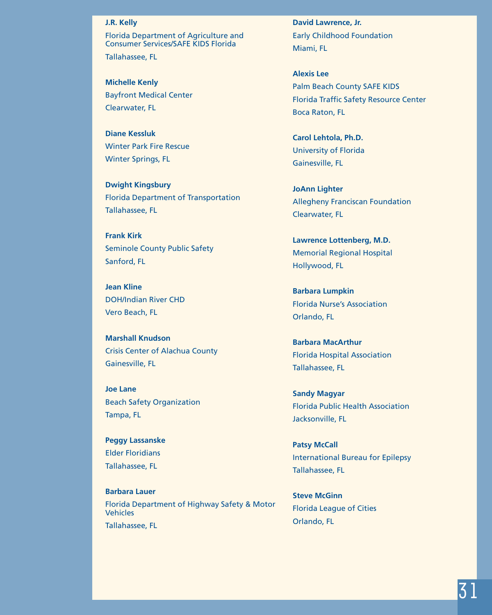#### **J.R. Kelly**

Florida Department of Agriculture and Consumer Services/SAFE KIDS Florida Tallahassee, FL

**Michelle Kenly** Bayfront Medical Center Clearwater, FL

**Diane Kessluk** Winter Park Fire Rescue Winter Springs, FL

**Dwight Kingsbury** Florida Department of Transportation Tallahassee, FL

**Frank Kirk** Seminole County Public Safety Sanford, FL

**Jean Kline** DOH/Indian River CHD Vero Beach, FL

**Marshall Knudson** Crisis Center of Alachua County Gainesville, FL

**Joe Lane** Beach Safety Organization Tampa, FL

**Peggy Lassanske** Elder Floridians Tallahassee, FL

**Barbara Lauer** Florida Department of Highway Safety & Motor **Vehicles** Tallahassee, FL

**David Lawrence, Jr.** Early Childhood Foundation Miami, FL

**Alexis Lee** Palm Beach County SAFE KIDS Florida Traffic Safety Resource Center Boca Raton, FL

**Carol Lehtola, Ph.D.** University of Florida Gainesville, FL

**JoAnn Lighter** Allegheny Franciscan Foundation Clearwater, FL

**Lawrence Lottenberg, M.D.** Memorial Regional Hospital Hollywood, FL

**Barbara Lumpkin** Florida Nurse's Association Orlando, FL

**Barbara MacArthur** Florida Hospital Association Tallahassee, FL

**Sandy Magyar** Florida Public Health Association Jacksonville, FL

**Patsy McCall** International Bureau for Epilepsy Tallahassee, FL

**Steve McGinn** Florida League of Cities Orlando, FL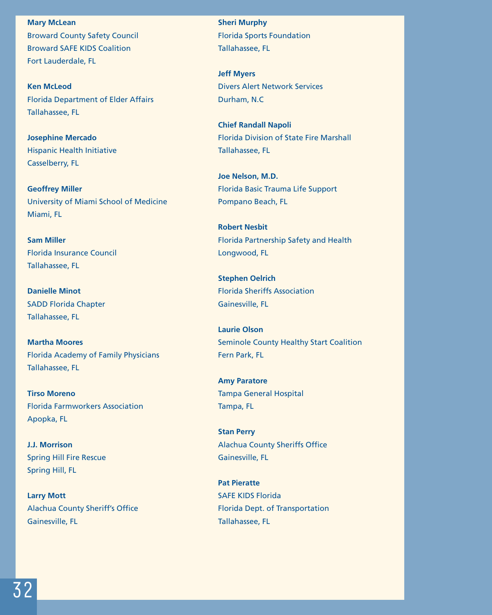**Mary McLean** Broward County Safety Council Broward SAFE KIDS Coalition Fort Lauderdale, FL

**Ken McLeod** Florida Department of Elder Affairs Tallahassee, FL

**Josephine Mercado** Hispanic Health Initiative Casselberry, FL

**Geoffrey Miller** University of Miami School of Medicine Miami, FL

**Sam Miller** Florida Insurance Council Tallahassee, FL

**Danielle Minot** SADD Florida Chapter Tallahassee, FL

**Martha Moores** Florida Academy of Family Physicians Tallahassee, FL

**Tirso Moreno** Florida Farmworkers Association Apopka, FL

**J.J. Morrison** Spring Hill Fire Rescue Spring Hill, FL

**Larry Mott** Alachua County Sheriff's Office Gainesville, FL

**Sheri Murphy** Florida Sports Foundation Tallahassee, FL

**Jeff Myers** Divers Alert Network Services Durham, N.C

**Chief Randall Napoli** Florida Division of State Fire Marshall Tallahassee, FL

**Joe Nelson, M.D.** Florida Basic Trauma Life Support Pompano Beach, FL

**Robert Nesbit** Florida Partnership Safety and Health Longwood, FL

**Stephen Oelrich** Florida Sheriffs Association Gainesville, FL

**Laurie Olson** Seminole County Healthy Start Coalition Fern Park, FL

**Amy Paratore** Tampa General Hospital Tampa, FL

**Stan Perry** Alachua County Sheriffs Office Gainesville, FL

**Pat Pieratte** SAFE KIDS Florida Florida Dept. of Transportation Tallahassee, FL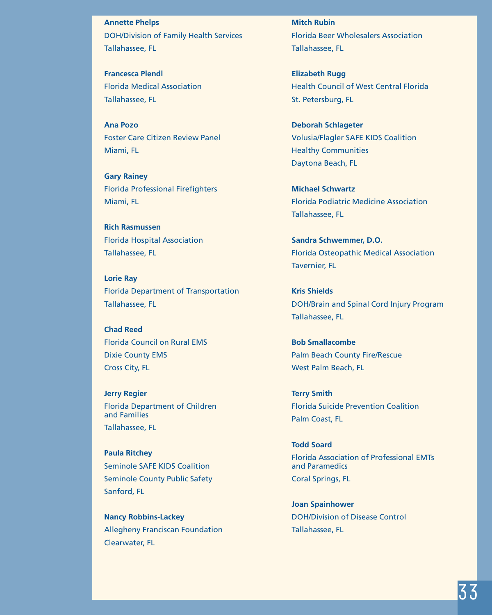**Annette Phelps** DOH/Division of Family Health Services Tallahassee, FL

**Francesca Plendl** Florida Medical Association Tallahassee, FL

**Ana Pozo** Foster Care Citizen Review Panel Miami, FL

**Gary Rainey** Florida Professional Firefighters Miami, FL

**Rich Rasmussen** Florida Hospital Association Tallahassee, FL

**Lorie Ray** Florida Department of Transportation Tallahassee, FL

**Chad Reed** Florida Council on Rural EMS Dixie County EMS Cross City, FL

**Jerry Regier** Florida Department of Children and Families Tallahassee, FL

**Paula Ritchey** Seminole SAFE KIDS Coalition Seminole County Public Safety Sanford, FL

**Nancy Robbins-Lackey** Allegheny Franciscan Foundation Clearwater, FL

**Mitch Rubin** Florida Beer Wholesalers Association Tallahassee, FL

**Elizabeth Rugg** Health Council of West Central Florida St. Petersburg, FL

**Deborah Schlageter** Volusia/Flagler SAFE KIDS Coalition Healthy Communities Daytona Beach, FL

**Michael Schwartz** Florida Podiatric Medicine Association Tallahassee, FL

**Sandra Schwemmer, D.O.** Florida Osteopathic Medical Association Tavernier, FL

**Kris Shields** DOH/Brain and Spinal Cord Injury Program Tallahassee, FL

**Bob Smallacombe** Palm Beach County Fire/Rescue West Palm Beach, FL

**Terry Smith** Florida Suicide Prevention Coalition Palm Coast, FL

**Todd Soard** Florida Association of Professional EMTs and Paramedics Coral Springs, FL

**Joan Spainhower** DOH/Division of Disease Control Tallahassee, FL